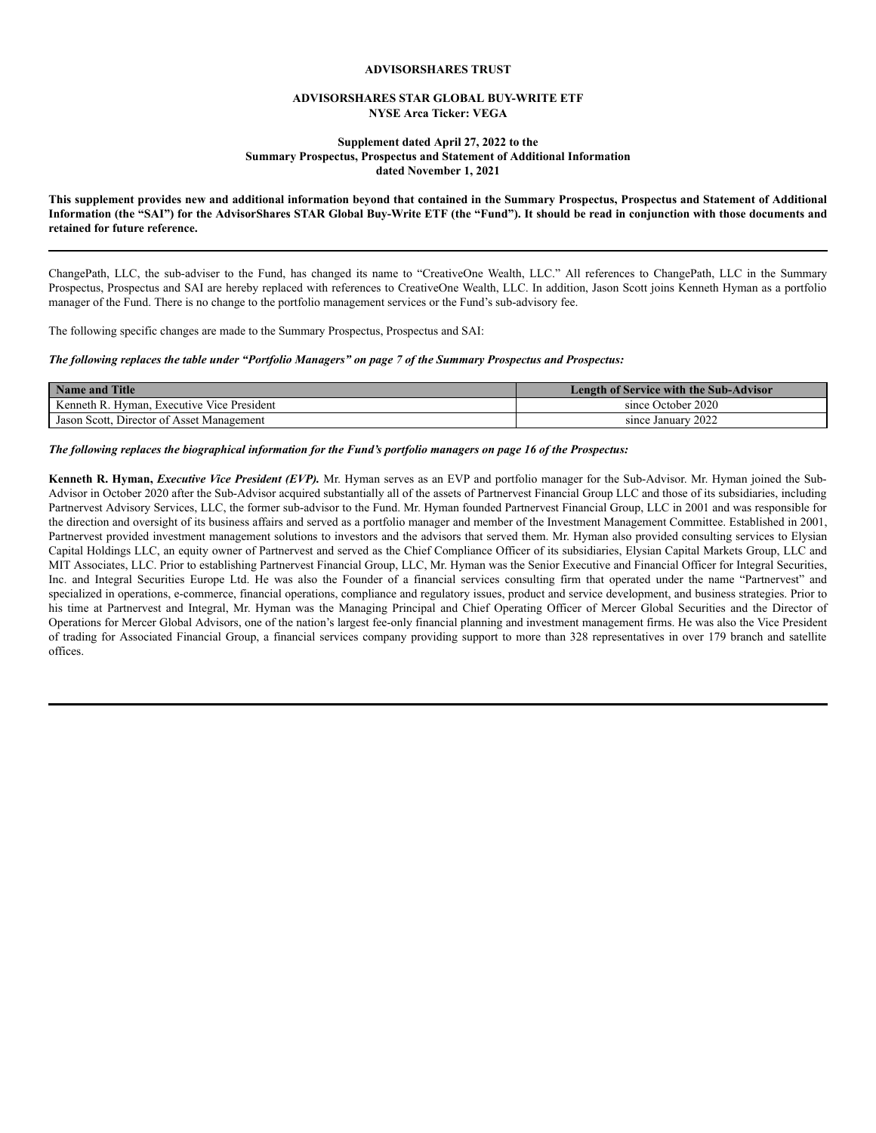#### **ADVISORSHARES TRUST**

#### **ADVISORSHARES STAR GLOBAL BUY-WRITE ETF NYSE Arca Ticker: VEGA**

#### **Supplement dated April 27, 2022 to the Summary Prospectus, Prospectus and Statement of Additional Information dated November 1, 2021**

This supplement provides new and additional information beyond that contained in the Summary Prospectus, Prospectus and Statement of Additional Information (the "SAI") for the AdvisorShares STAR Global Buy-Write ETF (the "Fund"). It should be read in conjunction with those documents and **retained for future reference.**

ChangePath, LLC, the sub-adviser to the Fund, has changed its name to "CreativeOne Wealth, LLC." All references to ChangePath, LLC in the Summary Prospectus, Prospectus and SAI are hereby replaced with references to CreativeOne Wealth, LLC. In addition, Jason Scott joins Kenneth Hyman as a portfolio manager of the Fund. There is no change to the portfolio management services or the Fund's sub-advisory fee.

The following specific changes are made to the Summary Prospectus, Prospectus and SAI:

#### The following replaces the table under "Portfolio Managers" on page 7 of the Summary Prospectus and Prospectus:

| Name and Title                             | <b>Length of Service with the Sub-Advisor</b> |
|--------------------------------------------|-----------------------------------------------|
| Kenneth R. Hyman, Executive Vice President | since October 2020                            |
| Jason Scott, Director of Asset Management  | since January 2022                            |

#### The following replaces the biographical information for the Fund's portfolio managers on page 16 of the Prospectus:

**Kenneth R. Hyman,** *Executive Vice President (EVP).* Mr. Hyman serves as an EVP and portfolio manager for the Sub-Advisor. Mr. Hyman joined the Sub-Advisor in October 2020 after the Sub-Advisor acquired substantially all of the assets of Partnervest Financial Group LLC and those of its subsidiaries, including Partnervest Advisory Services, LLC, the former sub-advisor to the Fund. Mr. Hyman founded Partnervest Financial Group, LLC in 2001 and was responsible for the direction and oversight of its business affairs and served as a portfolio manager and member of the Investment Management Committee. Established in 2001, Partnervest provided investment management solutions to investors and the advisors that served them. Mr. Hyman also provided consulting services to Elysian Capital Holdings LLC, an equity owner of Partnervest and served as the Chief Compliance Officer of its subsidiaries, Elysian Capital Markets Group, LLC and MIT Associates, LLC. Prior to establishing Partnervest Financial Group, LLC, Mr. Hyman was the Senior Executive and Financial Officer for Integral Securities, Inc. and Integral Securities Europe Ltd. He was also the Founder of a financial services consulting firm that operated under the name "Partnervest" and specialized in operations, e-commerce, financial operations, compliance and regulatory issues, product and service development, and business strategies. Prior to his time at Partnervest and Integral, Mr. Hyman was the Managing Principal and Chief Operating Officer of Mercer Global Securities and the Director of Operations for Mercer Global Advisors, one of the nation's largest fee-only financial planning and investment management firms. He was also the Vice President of trading for Associated Financial Group, a financial services company providing support to more than 328 representatives in over 179 branch and satellite offices.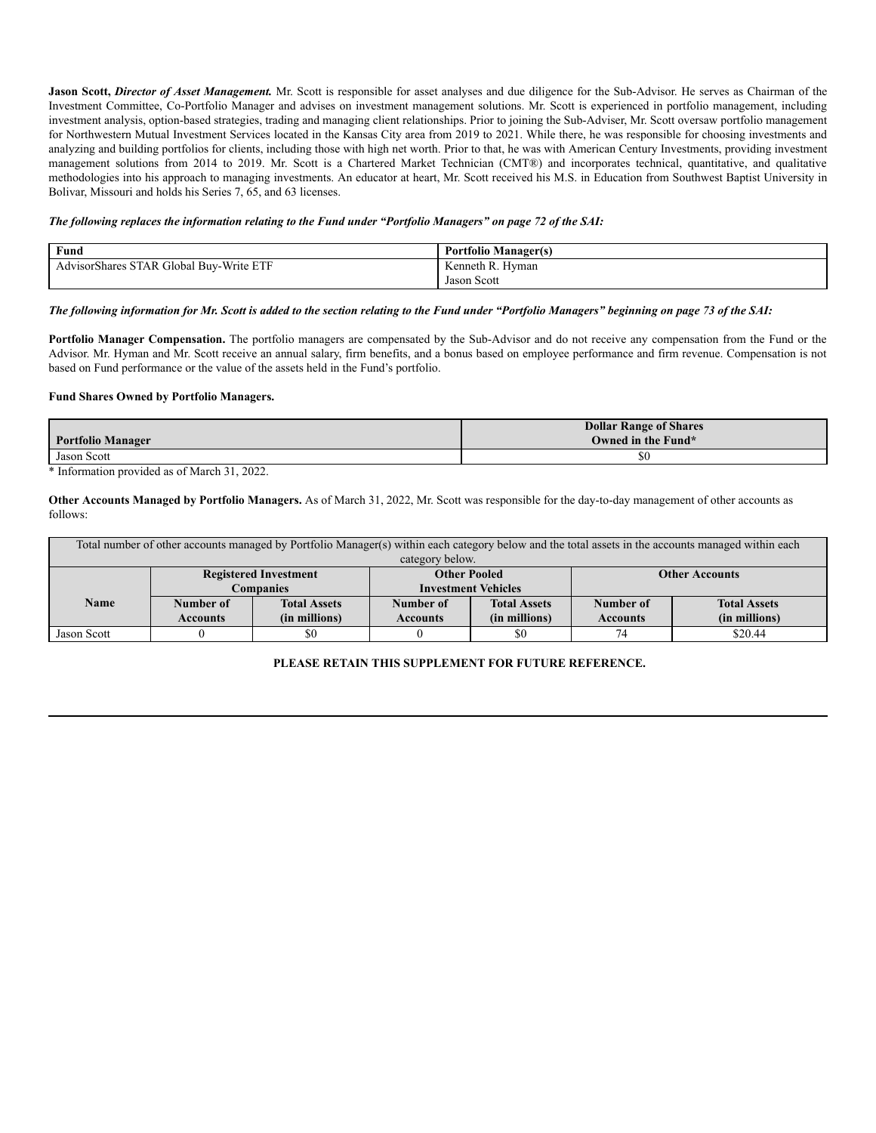**Jason Scott,** *Director of Asset Management.* Mr. Scott is responsible for asset analyses and due diligence for the Sub-Advisor. He serves as Chairman of the Investment Committee, Co-Portfolio Manager and advises on investment management solutions. Mr. Scott is experienced in portfolio management, including investment analysis, option-based strategies, trading and managing client relationships. Prior to joining the Sub-Adviser, Mr. Scott oversaw portfolio management for Northwestern Mutual Investment Services located in the Kansas City area from 2019 to 2021. While there, he was responsible for choosing investments and analyzing and building portfolios for clients, including those with high net worth. Prior to that, he was with American Century Investments, providing investment management solutions from 2014 to 2019. Mr. Scott is a Chartered Market Technician (CMT®) and incorporates technical, quantitative, and qualitative methodologies into his approach to managing investments. An educator at heart, Mr. Scott received his M.S. in Education from Southwest Baptist University in Bolivar, Missouri and holds his Series 7, 65, and 63 licenses.

#### The following replaces the information relating to the Fund under "Portfolio Managers" on page 72 of the SAI:

| Fund                                                                           | anagari -<br>ttolıo<br>— ічана <sub>сь</sub><br>. |
|--------------------------------------------------------------------------------|---------------------------------------------------|
| $- - -$<br><b>DOD</b><br>$\sim$<br>-Write El<br>Global<br><b>Buv</b><br>Shares | Hyman<br>enneth<br>к                              |
|                                                                                | Scott<br>Jasor                                    |

#### The following information for Mr. Scott is added to the section relating to the Fund under "Portfolio Managers" beginning on page 73 of the SAI:

**Portfolio Manager Compensation.** The portfolio managers are compensated by the Sub-Advisor and do not receive any compensation from the Fund or the Advisor. Mr. Hyman and Mr. Scott receive an annual salary, firm benefits, and a bonus based on employee performance and firm revenue. Compensation is not based on Fund performance or the value of the assets held in the Fund's portfolio.

#### **Fund Shares Owned by Portfolio Managers.**

| <b>Portfolio Manager</b> | <b>Dollar Range of Shares</b><br>Owned in the Fund* |
|--------------------------|-----------------------------------------------------|
| Jason Scott              | \$0                                                 |

\* Information provided as of March 31, 2022.

**Other Accounts Managed by Portfolio Managers.** As of March 31, 2022, Mr. Scott was responsible for the day-to-day management of other accounts as follows:

| Total number of other accounts managed by Portfolio Manager(s) within each category below and the total assets in the accounts managed within each |                 |                     |                            |                     |                 |                     |
|----------------------------------------------------------------------------------------------------------------------------------------------------|-----------------|---------------------|----------------------------|---------------------|-----------------|---------------------|
| category below.                                                                                                                                    |                 |                     |                            |                     |                 |                     |
| <b>Other Pooled</b><br><b>Registered Investment</b><br><b>Other Accounts</b>                                                                       |                 |                     |                            |                     |                 |                     |
|                                                                                                                                                    |                 | <b>Companies</b>    | <b>Investment Vehicles</b> |                     |                 |                     |
| <b>Name</b>                                                                                                                                        | Number of       | <b>Total Assets</b> | Number of                  | <b>Total Assets</b> | Number of       | <b>Total Assets</b> |
|                                                                                                                                                    | <b>Accounts</b> | (in millions)       | <b>Accounts</b>            | (in millions)       | <b>Accounts</b> | (in millions)       |
| Jason Scott                                                                                                                                        |                 | \$0                 |                            | \$0                 | 7 <sub>1</sub>  | \$20.44             |

#### **PLEASE RETAIN THIS SUPPLEMENT FOR FUTURE REFERENCE.**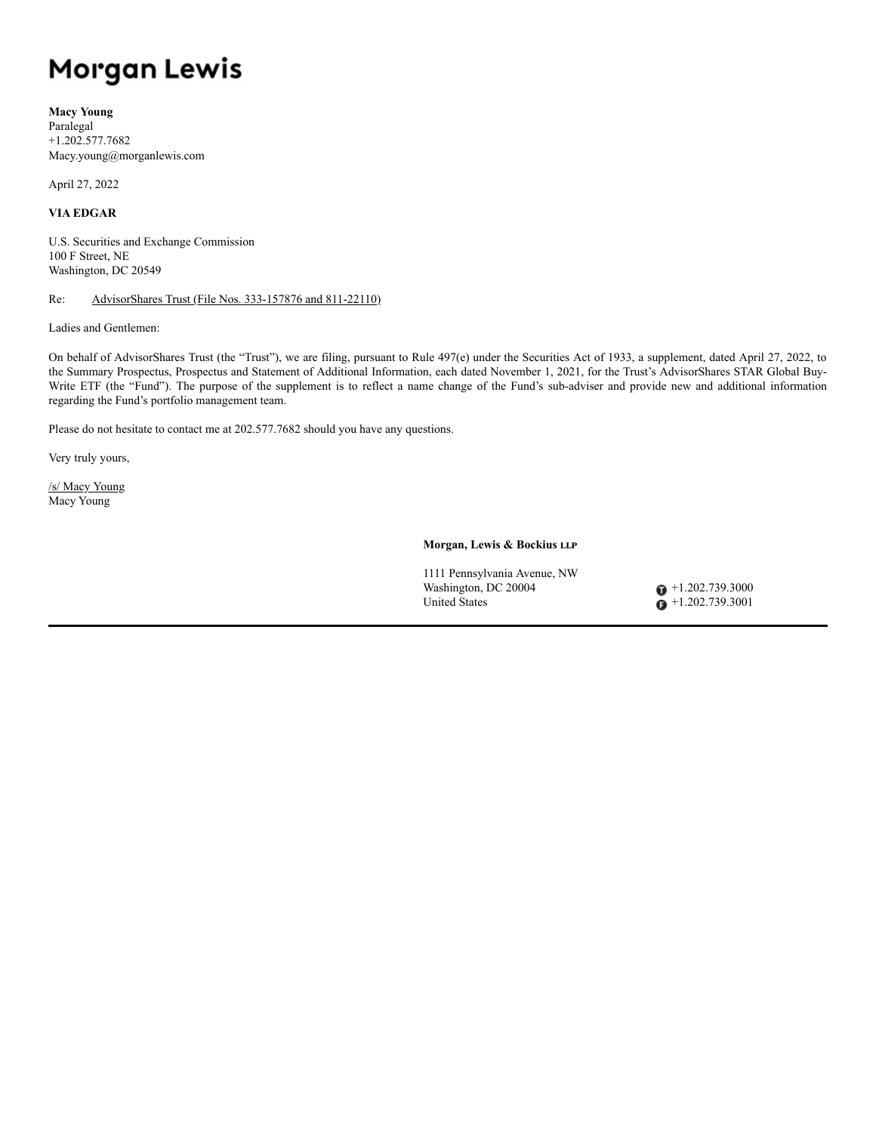# Morgan Lewis

**Macy Young** Paralegal +1.202.577.7682 Macy.young@morganlewis.com

April 27, 2022

# **VIA EDGAR**

U.S. Securities and Exchange Commission 100 F Street, NE Washington, DC 20549

#### Re: AdvisorShares Trust (File Nos. 333-157876 and 811-22110)

Ladies and Gentlemen:

On behalf of AdvisorShares Trust (the "Trust"), we are filing, pursuant to Rule 497(e) under the Securities Act of 1933, a supplement, dated April 27, 2022, to the Summary Prospectus, Prospectus and Statement of Additional Information, each dated November 1, 2021, for the Trust's AdvisorShares STAR Global Buy-Write ETF (the "Fund"). The purpose of the supplement is to reflect a name change of the Fund's sub-adviser and provide new and additional information regarding the Fund's portfolio management team.

Please do not hesitate to contact me at 202.577.7682 should you have any questions.

Very truly yours,

/s/ Macy Young Macy Young

**Morgan, Lewis & Bockius llp**

1111 Pennsylvania Avenue, NW Washington, DC 20004 +1.202.739.3000 United States  $\bullet$  +1.202.739.3001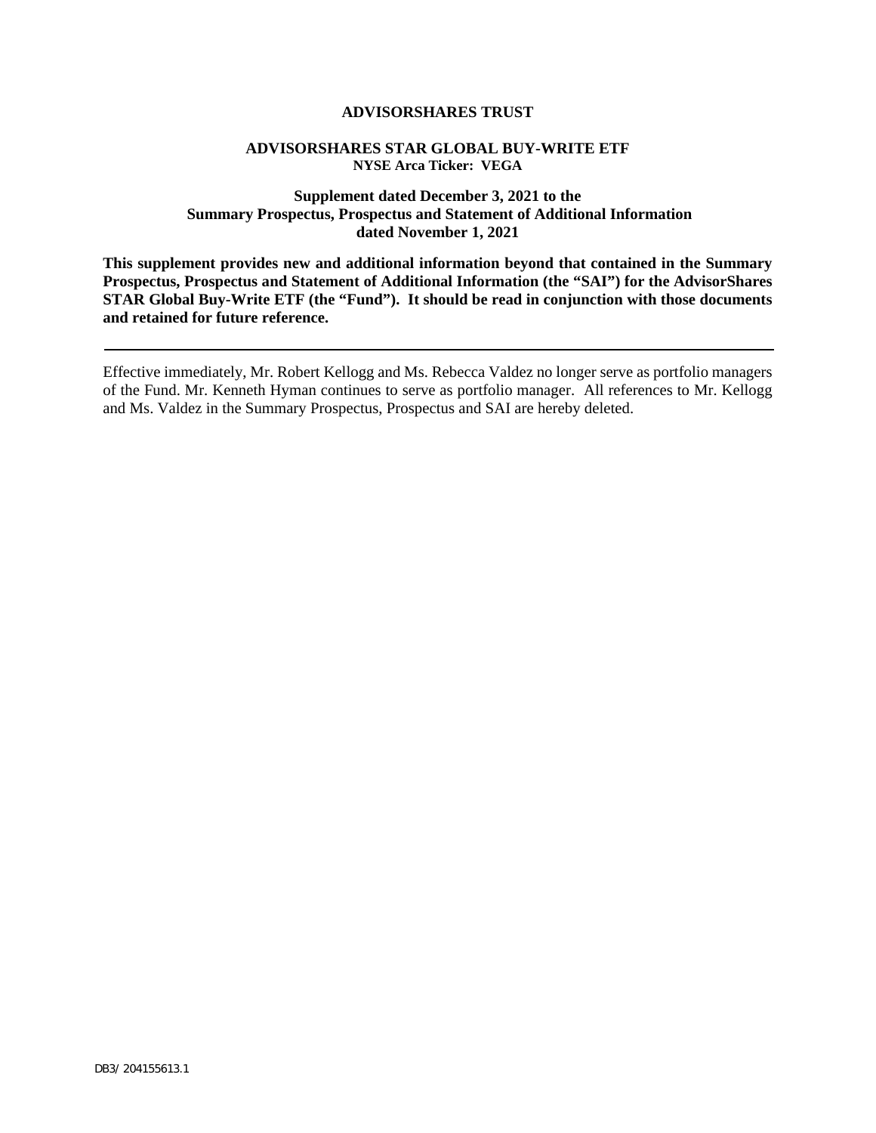# **ADVISORSHARES TRUST**

# **ADVISORSHARES STAR GLOBAL BUY-WRITE ETF NYSE Arca Ticker: VEGA**

# **Supplement dated December 3, 2021 to the Summary Prospectus, Prospectus and Statement of Additional Information dated November 1, 2021**

**This supplement provides new and additional information beyond that contained in the Summary Prospectus, Prospectus and Statement of Additional Information (the "SAI") for the AdvisorShares STAR Global Buy-Write ETF (the "Fund"). It should be read in conjunction with those documents and retained for future reference.**

Effective immediately, Mr. Robert Kellogg and Ms. Rebecca Valdez no longer serve as portfolio managers of the Fund. Mr. Kenneth Hyman continues to serve as portfolio manager. All references to Mr. Kellogg and Ms. Valdez in the Summary Prospectus, Prospectus and SAI are hereby deleted.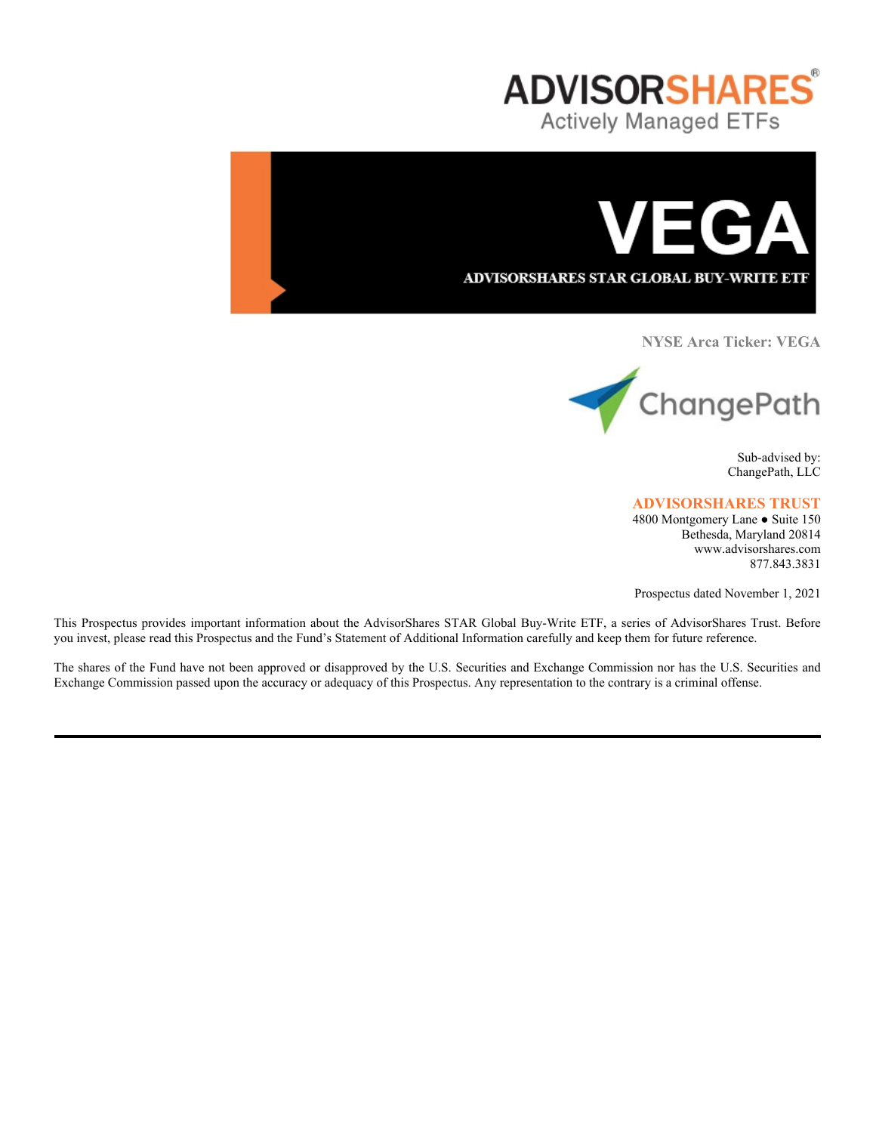



**NYSE Arca Ticker: VEGA**



Sub-advised by: ChangePath, LLC

# **ADVISORSHARES TRUST**

4800 Montgomery Lane ● Suite 150 Bethesda, Maryland 20814 www.advisorshares.com 877.843.3831

Prospectus dated November 1, 2021

This Prospectus provides important information about the AdvisorShares STAR Global Buy-Write ETF, a series of AdvisorShares Trust. Before you invest, please read this Prospectus and the Fund's Statement of Additional Information carefully and keep them for future reference.

The shares of the Fund have not been approved or disapproved by the U.S. Securities and Exchange Commission nor has the U.S. Securities and Exchange Commission passed upon the accuracy or adequacy of this Prospectus. Any representation to the contrary is a criminal offense.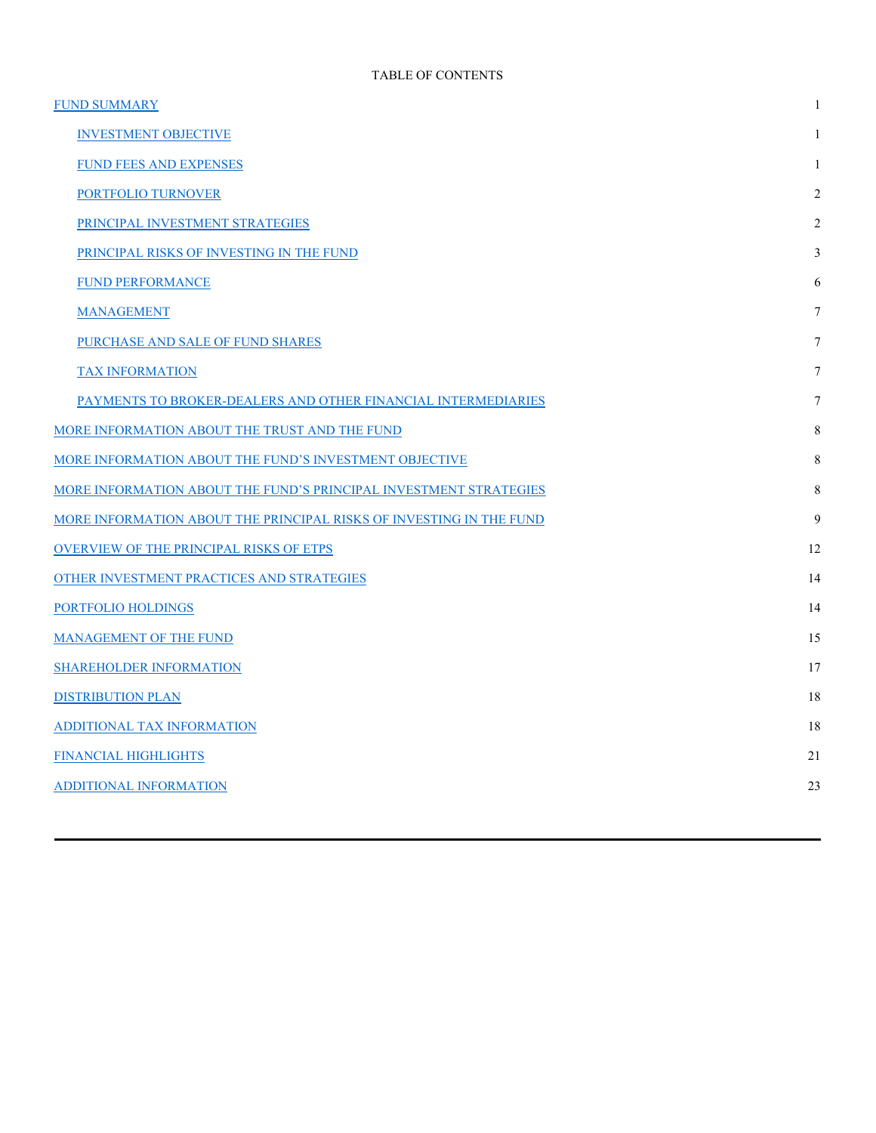| <b>FUND SUMMARY</b>                                                 | 1  |
|---------------------------------------------------------------------|----|
| <b>INVESTMENT OBJECTIVE</b>                                         | 1  |
| FUND FEES AND EXPENSES                                              | 1  |
| PORTFOLIO TURNOVER                                                  | 2  |
| PRINCIPAL INVESTMENT STRATEGIES                                     | 2  |
| PRINCIPAL RISKS OF INVESTING IN THE FUND                            | 3  |
| <b>FUND PERFORMANCE</b>                                             | 6  |
| <b>MANAGEMENT</b>                                                   | 7  |
| PURCHASE AND SALE OF FUND SHARES                                    | 7  |
| <b>TAX INFORMATION</b>                                              | 7  |
| PAYMENTS TO BROKER-DEALERS AND OTHER FINANCIAL INTERMEDIARIES       | 7  |
| MORE INFORMATION ABOUT THE TRUST AND THE FUND                       | 8  |
| MORE INFORMATION ABOUT THE FUND'S INVESTMENT OBJECTIVE              | 8  |
| MORE INFORMATION ABOUT THE FUND'S PRINCIPAL INVESTMENT STRATEGIES   | 8  |
| MORE INFORMATION ABOUT THE PRINCIPAL RISKS OF INVESTING IN THE FUND | 9  |
| OVERVIEW OF THE PRINCIPAL RISKS OF ETPS                             | 12 |
| OTHER INVESTMENT PRACTICES AND STRATEGIES                           | 14 |
| PORTFOLIO HOLDINGS                                                  | 14 |
| <b>MANAGEMENT OF THE FUND</b>                                       | 15 |
| <b>SHAREHOLDER INFORMATION</b>                                      | 17 |
| <b>DISTRIBUTION PLAN</b>                                            | 18 |
| ADDITIONAL TAX INFORMATION                                          | 18 |
| FINANCIAL HIGHLIGHTS                                                | 21 |
| <b>ADDITIONAL INFORMATION</b>                                       | 23 |
|                                                                     |    |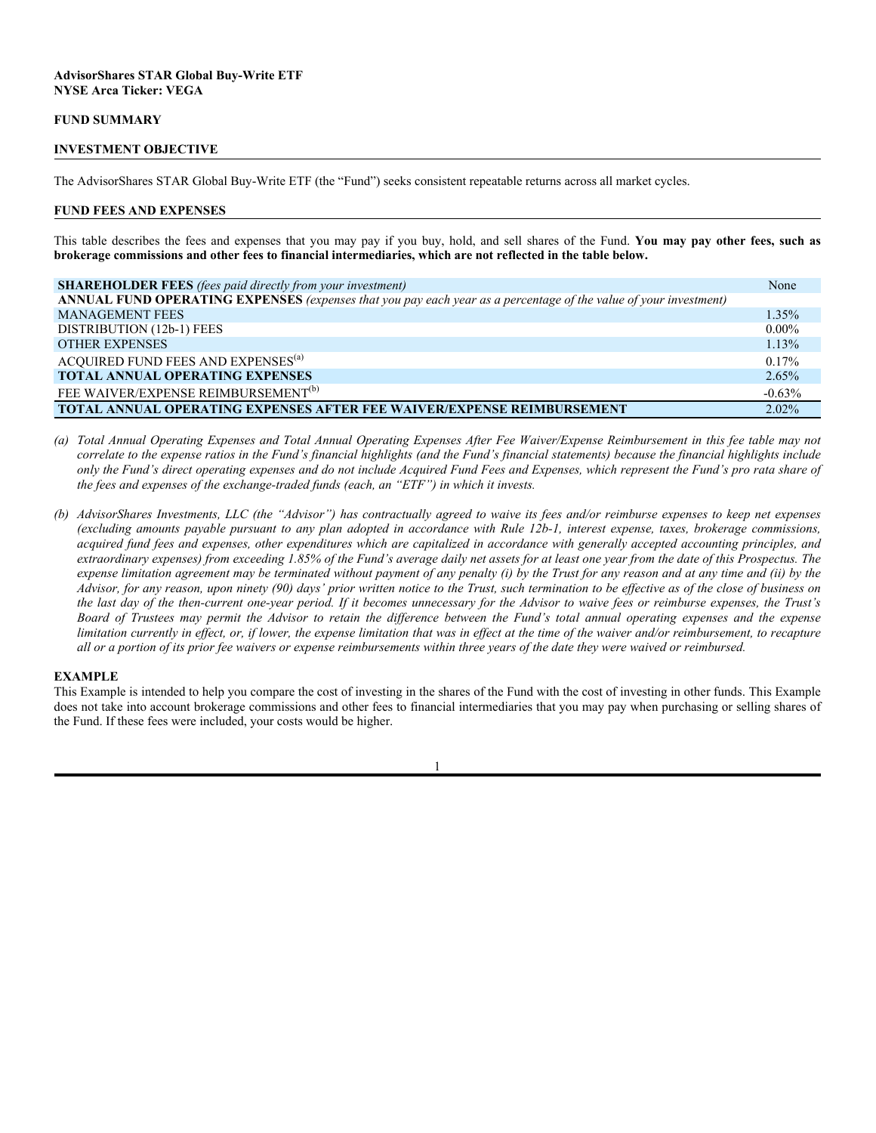#### **FUND SUMMARY**

#### **INVESTMENT OBJECTIVE**

The AdvisorShares STAR Global Buy-Write ETF (the "Fund") seeks consistent repeatable returns across all market cycles.

#### **FUND FEES AND EXPENSES**

This table describes the fees and expenses that you may pay if you buy, hold, and sell shares of the Fund. **You may pay other fees, such as brokerage commissions and other fees to financial intermediaries, which are not reflected in the table below.**

| <b>SHAREHOLDER FEES</b> (fees paid directly from your investment)                                                | None     |
|------------------------------------------------------------------------------------------------------------------|----------|
| ANNUAL FUND OPERATING EXPENSES (expenses that you pay each year as a percentage of the value of your investment) |          |
| <b>MANAGEMENT FEES</b>                                                                                           | $1.35\%$ |
| DISTRIBUTION (12b-1) FEES                                                                                        | $0.00\%$ |
| <b>OTHER EXPENSES</b>                                                                                            | 1.13%    |
| ACQUIRED FUND FEES AND EXPENSES <sup>(a)</sup>                                                                   | $0.17\%$ |
| <b>TOTAL ANNUAL OPERATING EXPENSES</b>                                                                           | 2.65%    |
| FEE WAIVER/EXPENSE REIMBURSEMENT <sup>(b)</sup>                                                                  | $-0.63%$ |
| <b>TOTAL ANNUAL OPERATING EXPENSES AFTER FEE WAIVER/EXPENSE REIMBURSEMENT</b>                                    | $2.02\%$ |

*(a) Total Annual Operating Expenses and Total Annual Operating Expenses After Fee Waiver/Expense Reimbursement in this fee table may not correlate to the expense ratios in the Fund's financial highlights (and the Fund's financial statements) because the financial highlights include only the Fund's direct operating expenses and do not include Acquired Fund Fees and Expenses, which represent the Fund's pro rata share of the fees and expenses of the exchange-traded funds (each, an "ETF") in which it invests.*

*(b) AdvisorShares Investments, LLC (the "Advisor") has contractually agreed to waive its fees and/or reimburse expenses to keep net expenses (excluding amounts payable pursuant to any plan adopted in accordance with Rule 12b-1, interest expense, taxes, brokerage commissions, acquired fund fees and expenses, other expenditures which are capitalized in accordance with generally accepted accounting principles, and extraordinary expenses) from exceeding 1.85% of the Fund's average daily net assets for at least one year from the date of this Prospectus. The expense limitation agreement may be terminated without payment of any penalty (i) by the Trust for any reason and at any time and (ii) by the Advisor, for any reason, upon ninety (90) days' prior written notice to the Trust, such termination to be effective as of the close of business on the last day of the then-current one-year period. If it becomes unnecessary for the Advisor to waive fees or reimburse expenses, the Trust's Board of Trustees may permit the Advisor to retain the difference between the Fund's total annual operating expenses and the expense limitation currently in effect, or, if lower, the expense limitation that was in effect at the time of the waiver and/or reimbursement, to recapture all or a portion of its prior fee waivers or expense reimbursements within three years of the date they were waived or reimbursed.*

#### **EXAMPLE**

This Example is intended to help you compare the cost of investing in the shares of the Fund with the cost of investing in other funds. This Example does not take into account brokerage commissions and other fees to financial intermediaries that you may pay when purchasing or selling shares of the Fund. If these fees were included, your costs would be higher.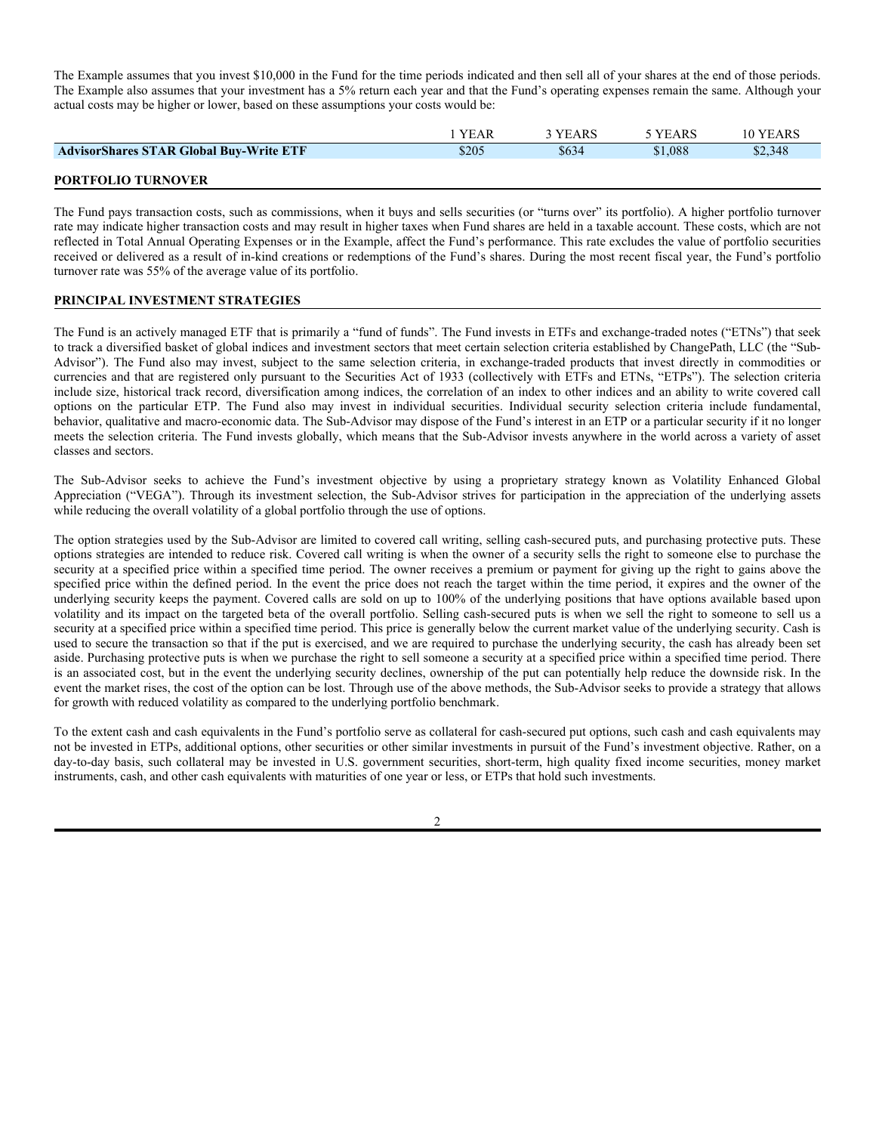The Example assumes that you invest \$10,000 in the Fund for the time periods indicated and then sell all of your shares at the end of those periods. The Example also assumes that your investment has a 5% return each year and that the Fund's operating expenses remain the same. Although your actual costs may be higher or lower, based on these assumptions your costs would be:

|                                                | YEAR  | 3 YEARS | 5 YEARS | 10 YEARS |
|------------------------------------------------|-------|---------|---------|----------|
| <b>AdvisorShares STAR Global Buy-Write ETF</b> | \$205 | \$634   | \$1,088 | \$2,348  |
|                                                |       |         |         |          |

#### **PORTFOLIO TURNOVER**

The Fund pays transaction costs, such as commissions, when it buys and sells securities (or "turns over" its portfolio). A higher portfolio turnover rate may indicate higher transaction costs and may result in higher taxes when Fund shares are held in a taxable account. These costs, which are not reflected in Total Annual Operating Expenses or in the Example, affect the Fund's performance. This rate excludes the value of portfolio securities received or delivered as a result of in-kind creations or redemptions of the Fund's shares. During the most recent fiscal year, the Fund's portfolio turnover rate was 55% of the average value of its portfolio.

#### **PRINCIPAL INVESTMENT STRATEGIES**

The Fund is an actively managed ETF that is primarily a "fund of funds". The Fund invests in ETFs and exchange-traded notes ("ETNs") that seek to track a diversified basket of global indices and investment sectors that meet certain selection criteria established by ChangePath, LLC (the "Sub-Advisor"). The Fund also may invest, subject to the same selection criteria, in exchange-traded products that invest directly in commodities or currencies and that are registered only pursuant to the Securities Act of 1933 (collectively with ETFs and ETNs, "ETPs"). The selection criteria include size, historical track record, diversification among indices, the correlation of an index to other indices and an ability to write covered call options on the particular ETP. The Fund also may invest in individual securities. Individual security selection criteria include fundamental, behavior, qualitative and macro-economic data. The Sub-Advisor may dispose of the Fund's interest in an ETP or a particular security if it no longer meets the selection criteria. The Fund invests globally, which means that the Sub-Advisor invests anywhere in the world across a variety of asset classes and sectors.

The Sub-Advisor seeks to achieve the Fund's investment objective by using a proprietary strategy known as Volatility Enhanced Global Appreciation ("VEGA"). Through its investment selection, the Sub-Advisor strives for participation in the appreciation of the underlying assets while reducing the overall volatility of a global portfolio through the use of options.

The option strategies used by the Sub-Advisor are limited to covered call writing, selling cash-secured puts, and purchasing protective puts. These options strategies are intended to reduce risk. Covered call writing is when the owner of a security sells the right to someone else to purchase the security at a specified price within a specified time period. The owner receives a premium or payment for giving up the right to gains above the specified price within the defined period. In the event the price does not reach the target within the time period, it expires and the owner of the underlying security keeps the payment. Covered calls are sold on up to 100% of the underlying positions that have options available based upon volatility and its impact on the targeted beta of the overall portfolio. Selling cash-secured puts is when we sell the right to someone to sell us a security at a specified price within a specified time period. This price is generally below the current market value of the underlying security. Cash is used to secure the transaction so that if the put is exercised, and we are required to purchase the underlying security, the cash has already been set aside. Purchasing protective puts is when we purchase the right to sell someone a security at a specified price within a specified time period. There is an associated cost, but in the event the underlying security declines, ownership of the put can potentially help reduce the downside risk. In the event the market rises, the cost of the option can be lost. Through use of the above methods, the Sub-Advisor seeks to provide a strategy that allows for growth with reduced volatility as compared to the underlying portfolio benchmark.

To the extent cash and cash equivalents in the Fund's portfolio serve as collateral for cash-secured put options, such cash and cash equivalents may not be invested in ETPs, additional options, other securities or other similar investments in pursuit of the Fund's investment objective. Rather, on a day-to-day basis, such collateral may be invested in U.S. government securities, short-term, high quality fixed income securities, money market instruments, cash, and other cash equivalents with maturities of one year or less, or ETPs that hold such investments.

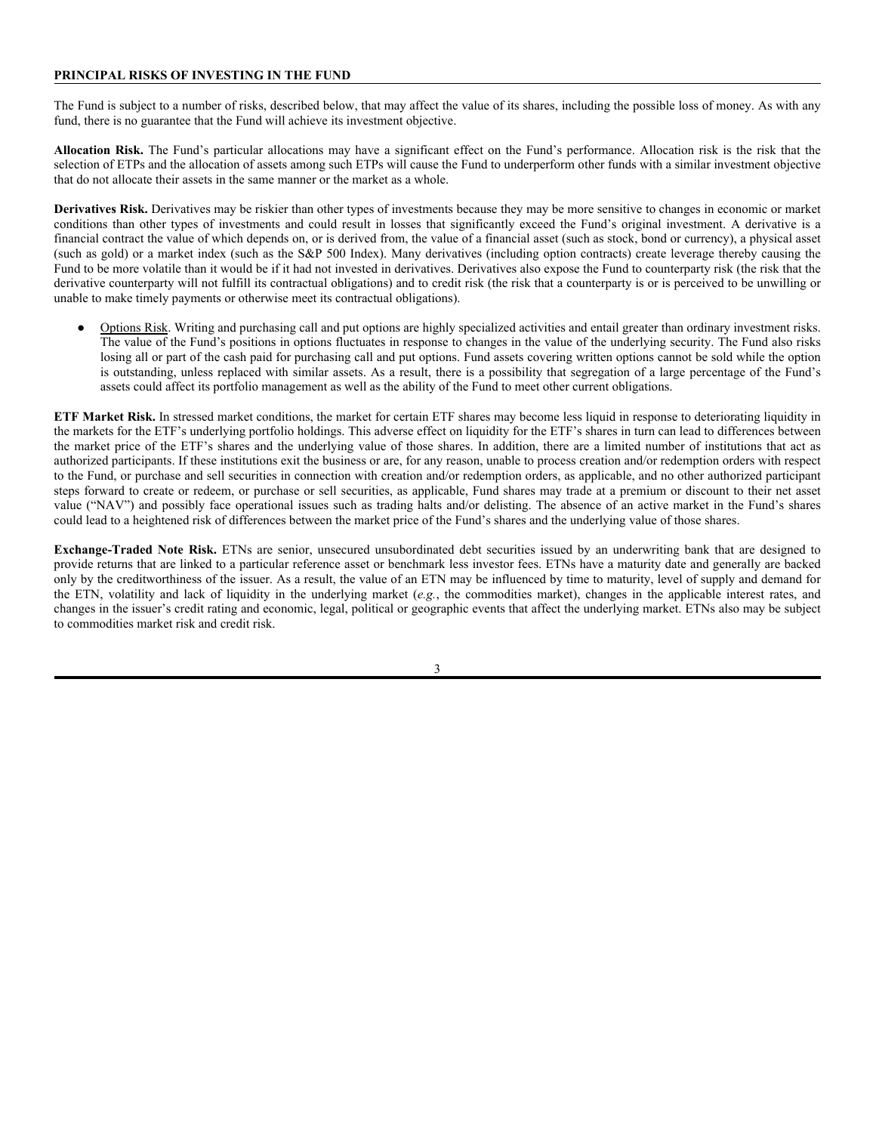#### **PRINCIPAL RISKS OF INVESTING IN THE FUND**

The Fund is subject to a number of risks, described below, that may affect the value of its shares, including the possible loss of money. As with any fund, there is no guarantee that the Fund will achieve its investment objective.

**Allocation Risk.** The Fund's particular allocations may have a significant effect on the Fund's performance. Allocation risk is the risk that the selection of ETPs and the allocation of assets among such ETPs will cause the Fund to underperform other funds with a similar investment objective that do not allocate their assets in the same manner or the market as a whole.

**Derivatives Risk.** Derivatives may be riskier than other types of investments because they may be more sensitive to changes in economic or market conditions than other types of investments and could result in losses that significantly exceed the Fund's original investment. A derivative is a financial contract the value of which depends on, or is derived from, the value of a financial asset (such as stock, bond or currency), a physical asset (such as gold) or a market index (such as the S&P 500 Index). Many derivatives (including option contracts) create leverage thereby causing the Fund to be more volatile than it would be if it had not invested in derivatives. Derivatives also expose the Fund to counterparty risk (the risk that the derivative counterparty will not fulfill its contractual obligations) and to credit risk (the risk that a counterparty is or is perceived to be unwilling or unable to make timely payments or otherwise meet its contractual obligations).

Options Risk. Writing and purchasing call and put options are highly specialized activities and entail greater than ordinary investment risks. The value of the Fund's positions in options fluctuates in response to changes in the value of the underlying security. The Fund also risks losing all or part of the cash paid for purchasing call and put options. Fund assets covering written options cannot be sold while the option is outstanding, unless replaced with similar assets. As a result, there is a possibility that segregation of a large percentage of the Fund's assets could affect its portfolio management as well as the ability of the Fund to meet other current obligations.

**ETF Market Risk.** In stressed market conditions, the market for certain ETF shares may become less liquid in response to deteriorating liquidity in the markets for the ETF's underlying portfolio holdings. This adverse effect on liquidity for the ETF's shares in turn can lead to differences between the market price of the ETF's shares and the underlying value of those shares. In addition, there are a limited number of institutions that act as authorized participants. If these institutions exit the business or are, for any reason, unable to process creation and/or redemption orders with respect to the Fund, or purchase and sell securities in connection with creation and/or redemption orders, as applicable, and no other authorized participant steps forward to create or redeem, or purchase or sell securities, as applicable, Fund shares may trade at a premium or discount to their net asset value ("NAV") and possibly face operational issues such as trading halts and/or delisting. The absence of an active market in the Fund's shares could lead to a heightened risk of differences between the market price of the Fund's shares and the underlying value of those shares.

**Exchange-Traded Note Risk.** ETNs are senior, unsecured unsubordinated debt securities issued by an underwriting bank that are designed to provide returns that are linked to a particular reference asset or benchmark less investor fees. ETNs have a maturity date and generally are backed only by the creditworthiness of the issuer. As a result, the value of an ETN may be influenced by time to maturity, level of supply and demand for the ETN, volatility and lack of liquidity in the underlying market (*e.g.*, the commodities market), changes in the applicable interest rates, and changes in the issuer's credit rating and economic, legal, political or geographic events that affect the underlying market. ETNs also may be subject to commodities market risk and credit risk.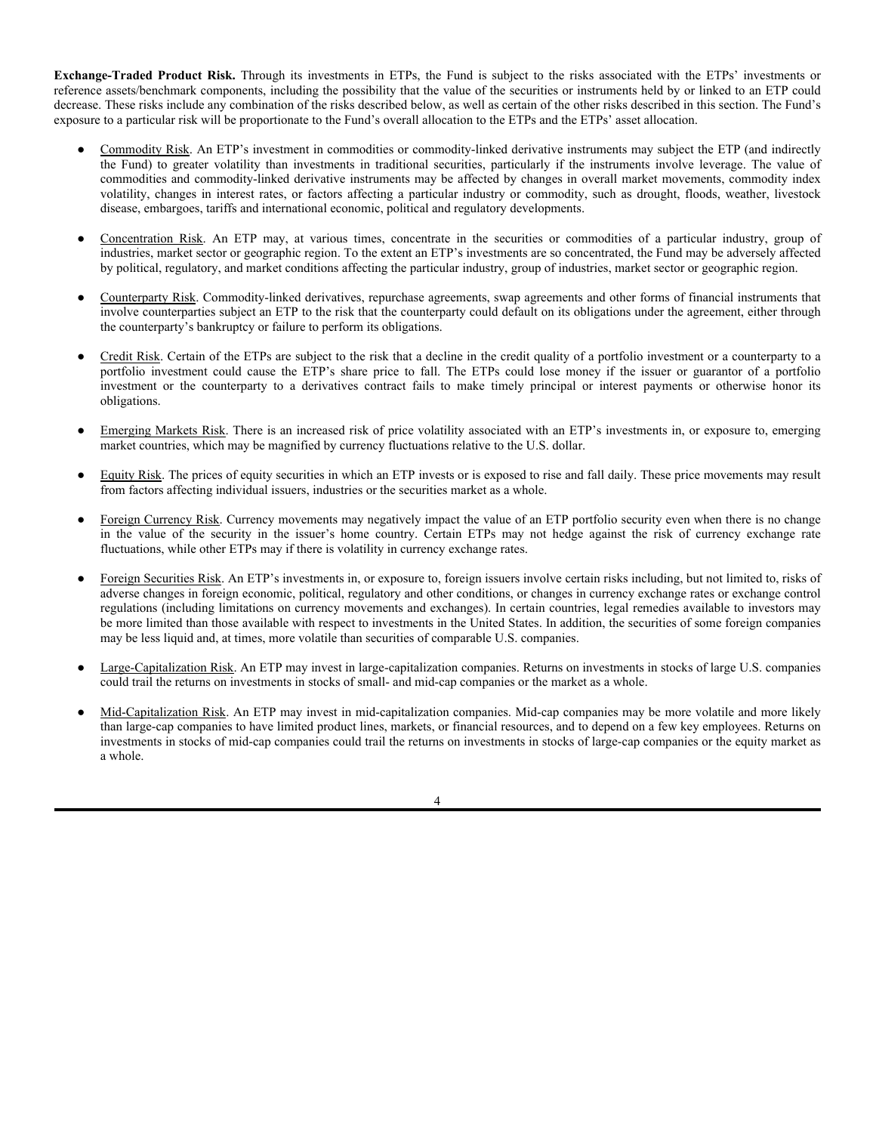**Exchange-Traded Product Risk.** Through its investments in ETPs, the Fund is subject to the risks associated with the ETPs' investments or reference assets/benchmark components, including the possibility that the value of the securities or instruments held by or linked to an ETP could decrease. These risks include any combination of the risks described below, as well as certain of the other risks described in this section. The Fund's exposure to a particular risk will be proportionate to the Fund's overall allocation to the ETPs and the ETPs' asset allocation.

- Commodity Risk. An ETP's investment in commodities or commodity-linked derivative instruments may subject the ETP (and indirectly the Fund) to greater volatility than investments in traditional securities, particularly if the instruments involve leverage. The value of commodities and commodity-linked derivative instruments may be affected by changes in overall market movements, commodity index volatility, changes in interest rates, or factors affecting a particular industry or commodity, such as drought, floods, weather, livestock disease, embargoes, tariffs and international economic, political and regulatory developments.
- Concentration Risk. An ETP may, at various times, concentrate in the securities or commodities of a particular industry, group of industries, market sector or geographic region. To the extent an ETP's investments are so concentrated, the Fund may be adversely affected by political, regulatory, and market conditions affecting the particular industry, group of industries, market sector or geographic region.
- Counterparty Risk. Commodity-linked derivatives, repurchase agreements, swap agreements and other forms of financial instruments that involve counterparties subject an ETP to the risk that the counterparty could default on its obligations under the agreement, either through the counterparty's bankruptcy or failure to perform its obligations.
- Credit Risk. Certain of the ETPs are subject to the risk that a decline in the credit quality of a portfolio investment or a counterparty to a portfolio investment could cause the ETP's share price to fall. The ETPs could lose money if the issuer or guarantor of a portfolio investment or the counterparty to a derivatives contract fails to make timely principal or interest payments or otherwise honor its obligations.
- Emerging Markets Risk. There is an increased risk of price volatility associated with an ETP's investments in, or exposure to, emerging market countries, which may be magnified by currency fluctuations relative to the U.S. dollar.
- Equity Risk. The prices of equity securities in which an ETP invests or is exposed to rise and fall daily. These price movements may result from factors affecting individual issuers, industries or the securities market as a whole.
- Foreign Currency Risk. Currency movements may negatively impact the value of an ETP portfolio security even when there is no change in the value of the security in the issuer's home country. Certain ETPs may not hedge against the risk of currency exchange rate fluctuations, while other ETPs may if there is volatility in currency exchange rates.
- Foreign Securities Risk. An ETP's investments in, or exposure to, foreign issuers involve certain risks including, but not limited to, risks of adverse changes in foreign economic, political, regulatory and other conditions, or changes in currency exchange rates or exchange control regulations (including limitations on currency movements and exchanges). In certain countries, legal remedies available to investors may be more limited than those available with respect to investments in the United States. In addition, the securities of some foreign companies may be less liquid and, at times, more volatile than securities of comparable U.S. companies.
- Large-Capitalization Risk. An ETP may invest in large-capitalization companies. Returns on investments in stocks of large U.S. companies could trail the returns on investments in stocks of small- and mid-cap companies or the market as a whole.
- Mid-Capitalization Risk. An ETP may invest in mid-capitalization companies. Mid-cap companies may be more volatile and more likely than large-cap companies to have limited product lines, markets, or financial resources, and to depend on a few key employees. Returns on investments in stocks of mid-cap companies could trail the returns on investments in stocks of large-cap companies or the equity market as a whole.

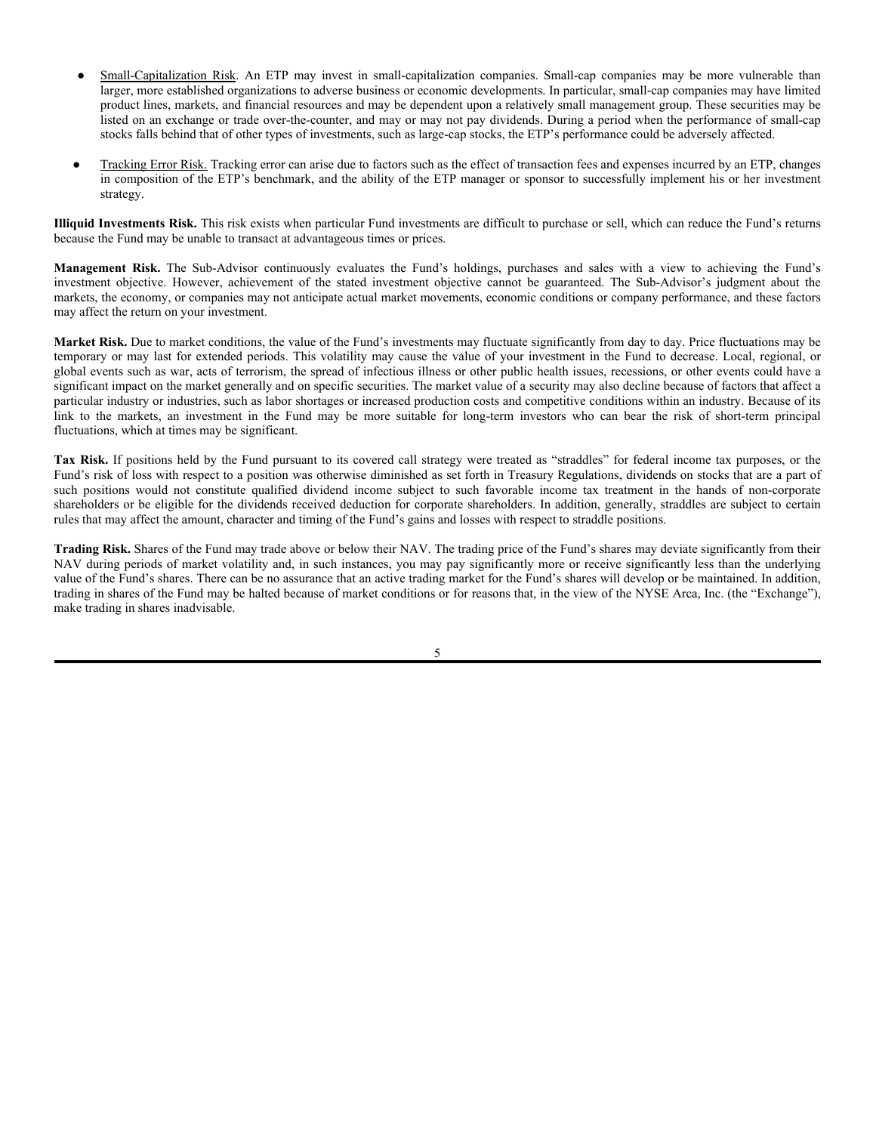- Small-Capitalization Risk. An ETP may invest in small-capitalization companies. Small-cap companies may be more vulnerable than larger, more established organizations to adverse business or economic developments. In particular, small-cap companies may have limited product lines, markets, and financial resources and may be dependent upon a relatively small management group. These securities may be listed on an exchange or trade over-the-counter, and may or may not pay dividends. During a period when the performance of small-cap stocks falls behind that of other types of investments, such as large-cap stocks, the ETP's performance could be adversely affected.
- Tracking Error Risk. Tracking error can arise due to factors such as the effect of transaction fees and expenses incurred by an ETP, changes in composition of the ETP's benchmark, and the ability of the ETP manager or sponsor to successfully implement his or her investment strategy.

**Illiquid Investments Risk.** This risk exists when particular Fund investments are difficult to purchase or sell, which can reduce the Fund's returns because the Fund may be unable to transact at advantageous times or prices.

**Management Risk.** The Sub-Advisor continuously evaluates the Fund's holdings, purchases and sales with a view to achieving the Fund's investment objective. However, achievement of the stated investment objective cannot be guaranteed. The Sub-Advisor's judgment about the markets, the economy, or companies may not anticipate actual market movements, economic conditions or company performance, and these factors may affect the return on your investment.

**Market Risk.** Due to market conditions, the value of the Fund's investments may fluctuate significantly from day to day. Price fluctuations may be temporary or may last for extended periods. This volatility may cause the value of your investment in the Fund to decrease. Local, regional, or global events such as war, acts of terrorism, the spread of infectious illness or other public health issues, recessions, or other events could have a significant impact on the market generally and on specific securities. The market value of a security may also decline because of factors that affect a particular industry or industries, such as labor shortages or increased production costs and competitive conditions within an industry. Because of its link to the markets, an investment in the Fund may be more suitable for long-term investors who can bear the risk of short-term principal fluctuations, which at times may be significant.

**Tax Risk.** If positions held by the Fund pursuant to its covered call strategy were treated as "straddles" for federal income tax purposes, or the Fund's risk of loss with respect to a position was otherwise diminished as set forth in Treasury Regulations, dividends on stocks that are a part of such positions would not constitute qualified dividend income subject to such favorable income tax treatment in the hands of non-corporate shareholders or be eligible for the dividends received deduction for corporate shareholders. In addition, generally, straddles are subject to certain rules that may affect the amount, character and timing of the Fund's gains and losses with respect to straddle positions.

**Trading Risk.** Shares of the Fund may trade above or below their NAV. The trading price of the Fund's shares may deviate significantly from their NAV during periods of market volatility and, in such instances, you may pay significantly more or receive significantly less than the underlying value of the Fund's shares. There can be no assurance that an active trading market for the Fund's shares will develop or be maintained. In addition, trading in shares of the Fund may be halted because of market conditions or for reasons that, in the view of the NYSE Arca, Inc. (the "Exchange"), make trading in shares inadvisable.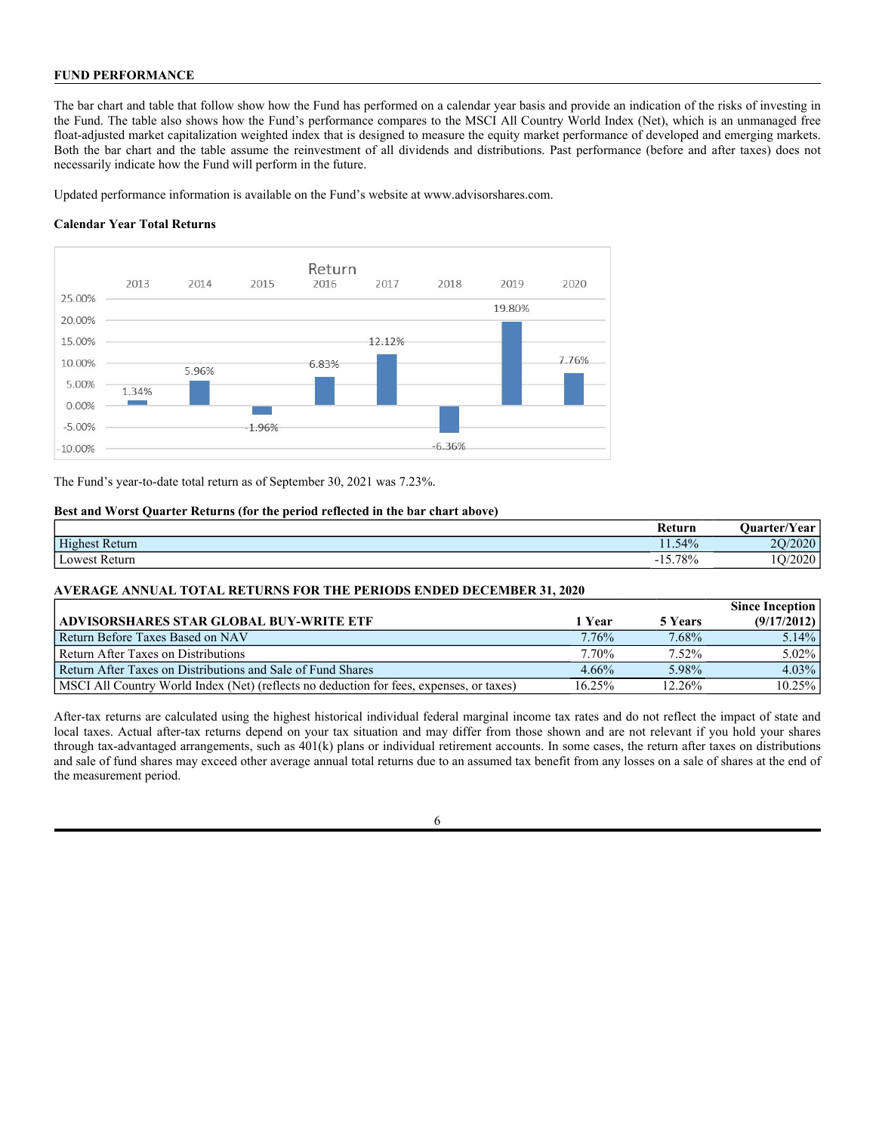# **FUND PERFORMANCE**

The bar chart and table that follow show how the Fund has performed on a calendar year basis and provide an indication of the risks of investing in the Fund. The table also shows how the Fund's performance compares to the MSCI All Country World Index (Net), which is an unmanaged free float-adjusted market capitalization weighted index that is designed to measure the equity market performance of developed and emerging markets. Both the bar chart and the table assume the reinvestment of all dividends and distributions. Past performance (before and after taxes) does not necessarily indicate how the Fund will perform in the future.

Updated performance information is available on the Fund's website at www.advisorshares.com.

# **Calendar Year Total Returns**



The Fund's year-to-date total return as of September 30, 2021 was 7.23%.

# **Best and Worst Quarter Returns (for the period reflected in the bar chart above)**

|                | Return          | $\mathbf{r}$<br><b>Ouarter/Year</b> |
|----------------|-----------------|-------------------------------------|
| Highest Return | $1.54\%$        | 20/2020                             |
| Lowest Return  | $5.78\%$<br>- 1 | O/2020                              |

# **AVERAGE ANNUAL TOTAL RETURNS FOR THE PERIODS ENDED DECEMBER 31, 2020**

|                                                                                          |        |         | <b>Since Inception</b> |
|------------------------------------------------------------------------------------------|--------|---------|------------------------|
| ADVISORSHARES STAR GLOBAL BUY-WRITE ETF                                                  | 1 Year | 5 Years | (9/17/2012)            |
| Return Before Taxes Based on NAV                                                         | 7.76%  | 7.68%   | $5.14\%$               |
| Return After Taxes on Distributions                                                      | 7.70%  | 7.52%   | 5.02%                  |
| Return After Taxes on Distributions and Sale of Fund Shares                              | 4.66%  | 5.98%   | $4.03\%$               |
| [MSCI All Country World Index (Net) (reflects no deduction for fees, expenses, or taxes) | 16.25% | 12.26%  | 10.25%                 |

After-tax returns are calculated using the highest historical individual federal marginal income tax rates and do not reflect the impact of state and local taxes. Actual after-tax returns depend on your tax situation and may differ from those shown and are not relevant if you hold your shares through tax-advantaged arrangements, such as 401(k) plans or individual retirement accounts. In some cases, the return after taxes on distributions and sale of fund shares may exceed other average annual total returns due to an assumed tax benefit from any losses on a sale of shares at the end of the measurement period.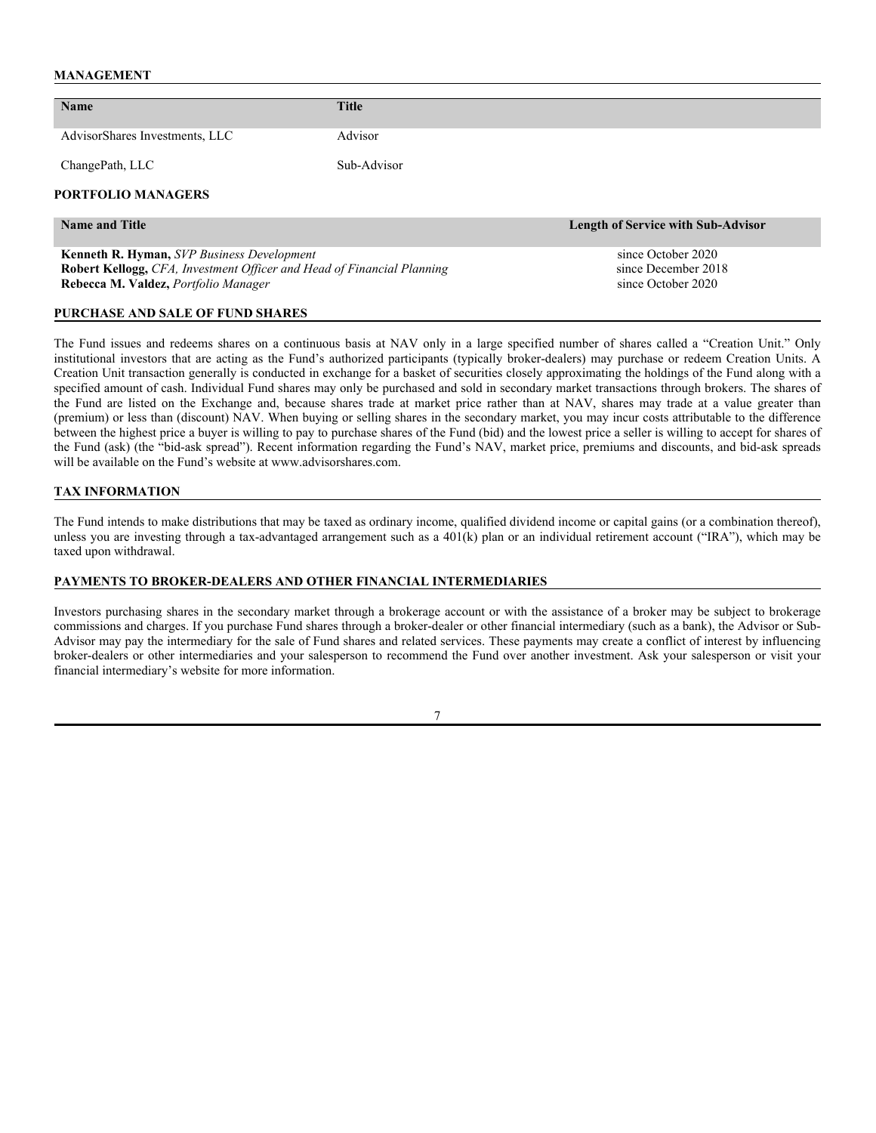#### **MANAGEMENT**

| Name                                                                          | <b>Title</b> |                                           |
|-------------------------------------------------------------------------------|--------------|-------------------------------------------|
|                                                                               |              |                                           |
| AdvisorShares Investments, LLC                                                | Advisor      |                                           |
|                                                                               |              |                                           |
| ChangePath, LLC                                                               | Sub-Advisor  |                                           |
|                                                                               |              |                                           |
| <b>PORTFOLIO MANAGERS</b>                                                     |              |                                           |
|                                                                               |              |                                           |
| <b>Name and Title</b>                                                         |              | <b>Length of Service with Sub-Advisor</b> |
|                                                                               |              |                                           |
| <b>Kenneth R. Hyman, SVP Business Development</b>                             |              | since October 2020                        |
| <b>Robert Kellogg, CFA, Investment Officer and Head of Financial Planning</b> |              | since December 2018                       |

**Rebecca M. Valdez,** *Portfolio Manager* since October 2020

# **PURCHASE AND SALE OF FUND SHARES**

The Fund issues and redeems shares on a continuous basis at NAV only in a large specified number of shares called a "Creation Unit." Only institutional investors that are acting as the Fund's authorized participants (typically broker-dealers) may purchase or redeem Creation Units. A Creation Unit transaction generally is conducted in exchange for a basket of securities closely approximating the holdings of the Fund along with a specified amount of cash. Individual Fund shares may only be purchased and sold in secondary market transactions through brokers. The shares of the Fund are listed on the Exchange and, because shares trade at market price rather than at NAV, shares may trade at a value greater than (premium) or less than (discount) NAV. When buying or selling shares in the secondary market, you may incur costs attributable to the difference between the highest price a buyer is willing to pay to purchase shares of the Fund (bid) and the lowest price a seller is willing to accept for shares of the Fund (ask) (the "bid-ask spread"). Recent information regarding the Fund's NAV, market price, premiums and discounts, and bid-ask spreads will be available on the Fund's website at www.advisorshares.com.

#### **TAX INFORMATION**

The Fund intends to make distributions that may be taxed as ordinary income, qualified dividend income or capital gains (or a combination thereof), unless you are investing through a tax-advantaged arrangement such as a 401(k) plan or an individual retirement account ("IRA"), which may be taxed upon withdrawal.

#### **PAYMENTS TO BROKER-DEALERS AND OTHER FINANCIAL INTERMEDIARIES**

Investors purchasing shares in the secondary market through a brokerage account or with the assistance of a broker may be subject to brokerage commissions and charges. If you purchase Fund shares through a broker-dealer or other financial intermediary (such as a bank), the Advisor or Sub-Advisor may pay the intermediary for the sale of Fund shares and related services. These payments may create a conflict of interest by influencing broker-dealers or other intermediaries and your salesperson to recommend the Fund over another investment. Ask your salesperson or visit your financial intermediary's website for more information.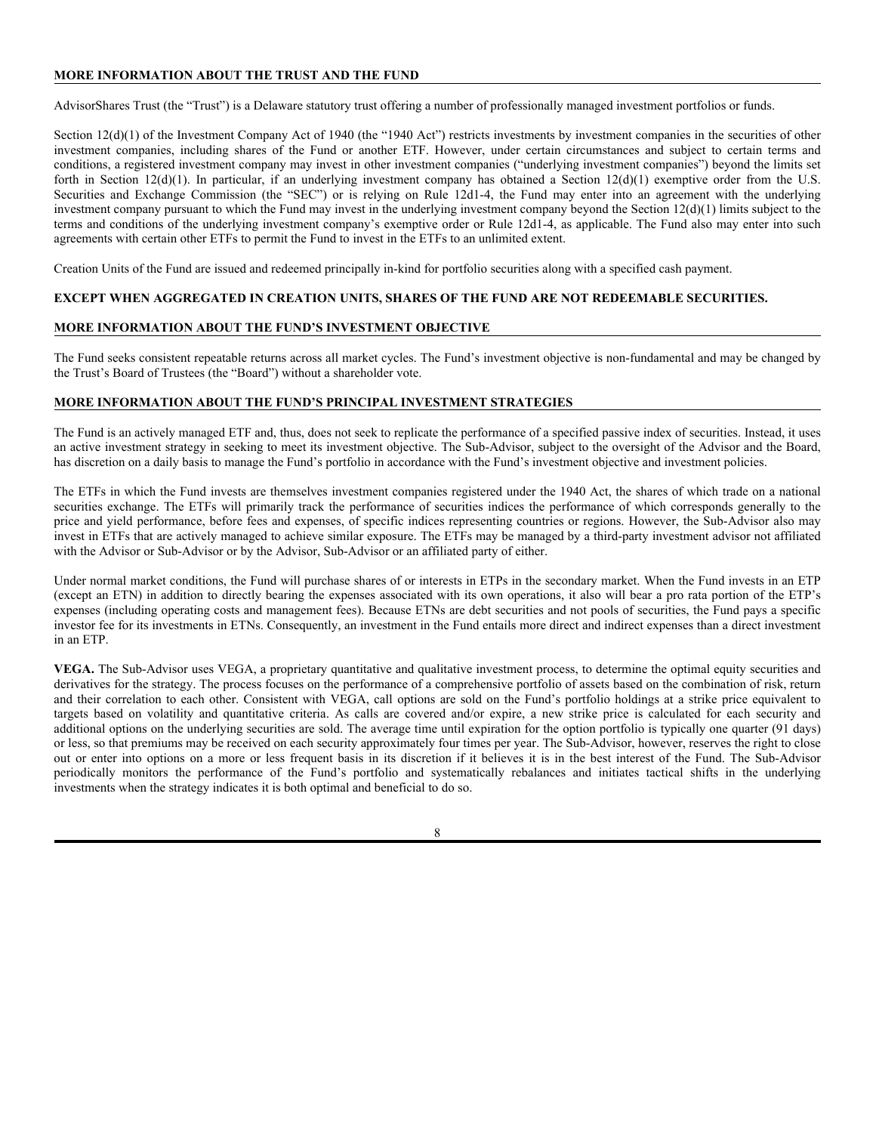# **MORE INFORMATION ABOUT THE TRUST AND THE FUND**

AdvisorShares Trust (the "Trust") is a Delaware statutory trust offering a number of professionally managed investment portfolios or funds.

Section 12(d)(1) of the Investment Company Act of 1940 (the "1940 Act") restricts investments by investment companies in the securities of other investment companies, including shares of the Fund or another ETF. However, under certain circumstances and subject to certain terms and conditions, a registered investment company may invest in other investment companies ("underlying investment companies") beyond the limits set forth in Section 12(d)(1). In particular, if an underlying investment company has obtained a Section 12(d)(1) exemptive order from the U.S. Securities and Exchange Commission (the "SEC") or is relying on Rule 12d1-4, the Fund may enter into an agreement with the underlying investment company pursuant to which the Fund may invest in the underlying investment company beyond the Section 12(d)(1) limits subject to the terms and conditions of the underlying investment company's exemptive order or Rule 12d1-4, as applicable. The Fund also may enter into such agreements with certain other ETFs to permit the Fund to invest in the ETFs to an unlimited extent.

Creation Units of the Fund are issued and redeemed principally in-kind for portfolio securities along with a specified cash payment.

#### **EXCEPT WHEN AGGREGATED IN CREATION UNITS, SHARES OF THE FUND ARE NOT REDEEMABLE SECURITIES.**

#### **MORE INFORMATION ABOUT THE FUND'S INVESTMENT OBJECTIVE**

The Fund seeks consistent repeatable returns across all market cycles. The Fund's investment objective is non-fundamental and may be changed by the Trust's Board of Trustees (the "Board") without a shareholder vote.

#### **MORE INFORMATION ABOUT THE FUND'S PRINCIPAL INVESTMENT STRATEGIES**

The Fund is an actively managed ETF and, thus, does not seek to replicate the performance of a specified passive index of securities. Instead, it uses an active investment strategy in seeking to meet its investment objective. The Sub-Advisor, subject to the oversight of the Advisor and the Board, has discretion on a daily basis to manage the Fund's portfolio in accordance with the Fund's investment objective and investment policies.

The ETFs in which the Fund invests are themselves investment companies registered under the 1940 Act, the shares of which trade on a national securities exchange. The ETFs will primarily track the performance of securities indices the performance of which corresponds generally to the price and yield performance, before fees and expenses, of specific indices representing countries or regions. However, the Sub-Advisor also may invest in ETFs that are actively managed to achieve similar exposure. The ETFs may be managed by a third-party investment advisor not affiliated with the Advisor or Sub-Advisor or by the Advisor, Sub-Advisor or an affiliated party of either.

Under normal market conditions, the Fund will purchase shares of or interests in ETPs in the secondary market. When the Fund invests in an ETP (except an ETN) in addition to directly bearing the expenses associated with its own operations, it also will bear a pro rata portion of the ETP's expenses (including operating costs and management fees). Because ETNs are debt securities and not pools of securities, the Fund pays a specific investor fee for its investments in ETNs. Consequently, an investment in the Fund entails more direct and indirect expenses than a direct investment in an ETP.

**VEGA.** The Sub-Advisor uses VEGA, a proprietary quantitative and qualitative investment process, to determine the optimal equity securities and derivatives for the strategy. The process focuses on the performance of a comprehensive portfolio of assets based on the combination of risk, return and their correlation to each other. Consistent with VEGA, call options are sold on the Fund's portfolio holdings at a strike price equivalent to targets based on volatility and quantitative criteria. As calls are covered and/or expire, a new strike price is calculated for each security and additional options on the underlying securities are sold. The average time until expiration for the option portfolio is typically one quarter (91 days) or less, so that premiums may be received on each security approximately four times per year. The Sub-Advisor, however, reserves the right to close out or enter into options on a more or less frequent basis in its discretion if it believes it is in the best interest of the Fund. The Sub-Advisor periodically monitors the performance of the Fund's portfolio and systematically rebalances and initiates tactical shifts in the underlying investments when the strategy indicates it is both optimal and beneficial to do so.

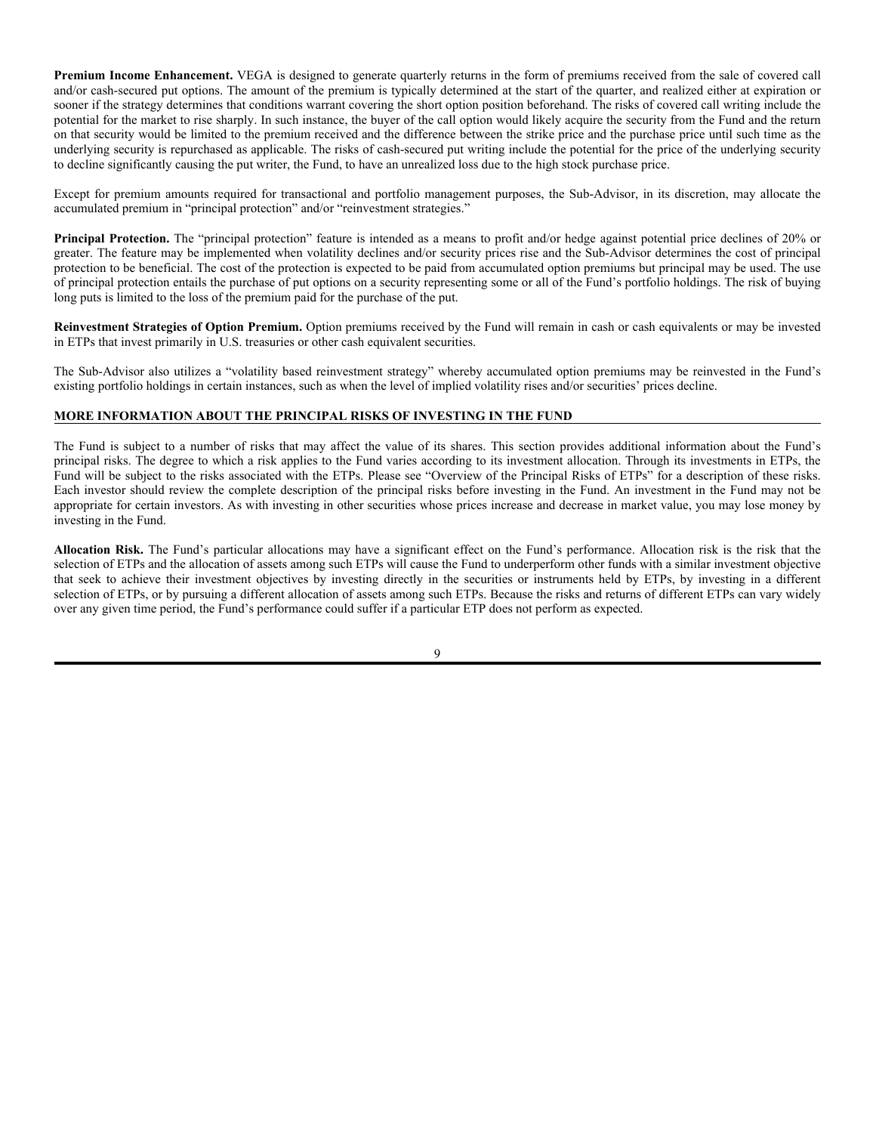**Premium Income Enhancement.** VEGA is designed to generate quarterly returns in the form of premiums received from the sale of covered call and/or cash-secured put options. The amount of the premium is typically determined at the start of the quarter, and realized either at expiration or sooner if the strategy determines that conditions warrant covering the short option position beforehand. The risks of covered call writing include the potential for the market to rise sharply. In such instance, the buyer of the call option would likely acquire the security from the Fund and the return on that security would be limited to the premium received and the difference between the strike price and the purchase price until such time as the underlying security is repurchased as applicable. The risks of cash-secured put writing include the potential for the price of the underlying security to decline significantly causing the put writer, the Fund, to have an unrealized loss due to the high stock purchase price.

Except for premium amounts required for transactional and portfolio management purposes, the Sub-Advisor, in its discretion, may allocate the accumulated premium in "principal protection" and/or "reinvestment strategies."

Principal Protection. The "principal protection" feature is intended as a means to profit and/or hedge against potential price declines of 20% or greater. The feature may be implemented when volatility declines and/or security prices rise and the Sub-Advisor determines the cost of principal protection to be beneficial. The cost of the protection is expected to be paid from accumulated option premiums but principal may be used. The use of principal protection entails the purchase of put options on a security representing some or all of the Fund's portfolio holdings. The risk of buying long puts is limited to the loss of the premium paid for the purchase of the put.

**Reinvestment Strategies of Option Premium.** Option premiums received by the Fund will remain in cash or cash equivalents or may be invested in ETPs that invest primarily in U.S. treasuries or other cash equivalent securities.

The Sub-Advisor also utilizes a "volatility based reinvestment strategy" whereby accumulated option premiums may be reinvested in the Fund's existing portfolio holdings in certain instances, such as when the level of implied volatility rises and/or securities' prices decline.

# **MORE INFORMATION ABOUT THE PRINCIPAL RISKS OF INVESTING IN THE FUND**

The Fund is subject to a number of risks that may affect the value of its shares. This section provides additional information about the Fund's principal risks. The degree to which a risk applies to the Fund varies according to its investment allocation. Through its investments in ETPs, the Fund will be subject to the risks associated with the ETPs. Please see "Overview of the Principal Risks of ETPs" for a description of these risks. Each investor should review the complete description of the principal risks before investing in the Fund. An investment in the Fund may not be appropriate for certain investors. As with investing in other securities whose prices increase and decrease in market value, you may lose money by investing in the Fund.

**Allocation Risk.** The Fund's particular allocations may have a significant effect on the Fund's performance. Allocation risk is the risk that the selection of ETPs and the allocation of assets among such ETPs will cause the Fund to underperform other funds with a similar investment objective that seek to achieve their investment objectives by investing directly in the securities or instruments held by ETPs, by investing in a different selection of ETPs, or by pursuing a different allocation of assets among such ETPs. Because the risks and returns of different ETPs can vary widely over any given time period, the Fund's performance could suffer if a particular ETP does not perform as expected.

 $\overline{Q}$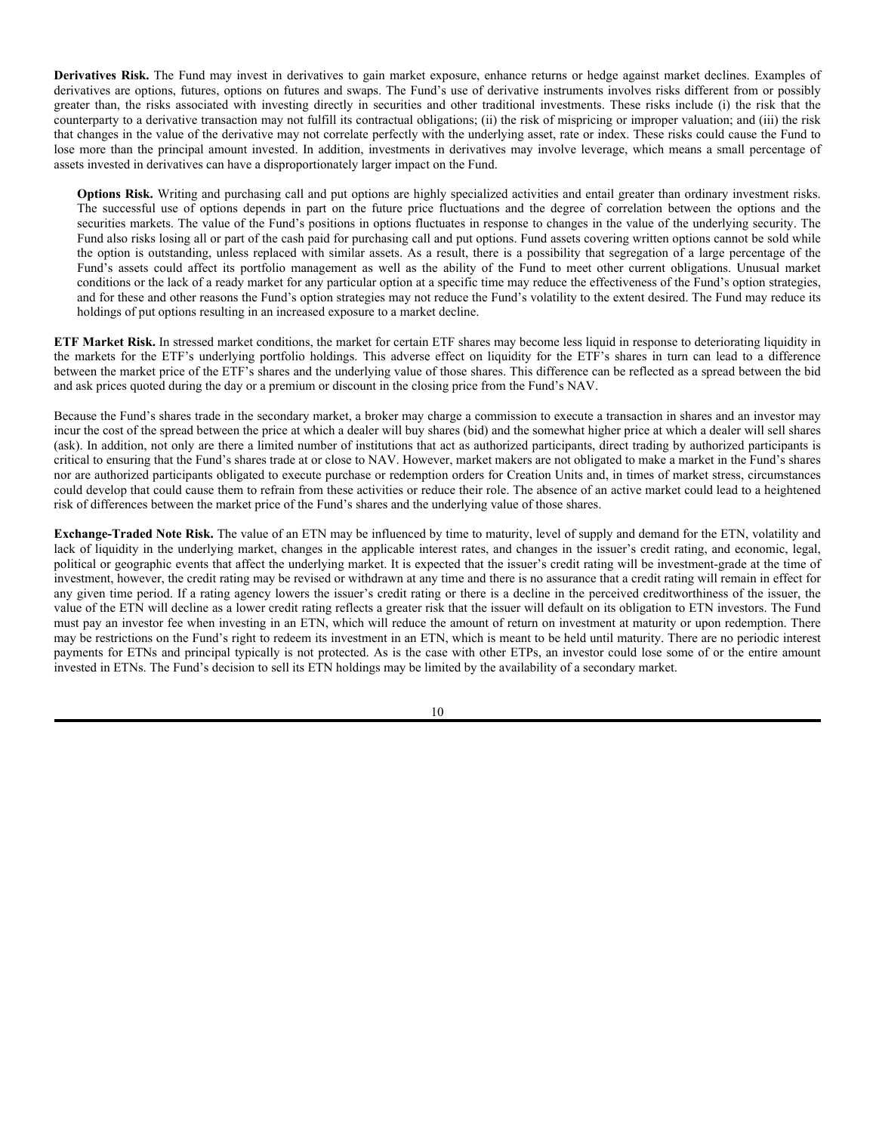**Derivatives Risk.** The Fund may invest in derivatives to gain market exposure, enhance returns or hedge against market declines. Examples of derivatives are options, futures, options on futures and swaps. The Fund's use of derivative instruments involves risks different from or possibly greater than, the risks associated with investing directly in securities and other traditional investments. These risks include (i) the risk that the counterparty to a derivative transaction may not fulfill its contractual obligations; (ii) the risk of mispricing or improper valuation; and (iii) the risk that changes in the value of the derivative may not correlate perfectly with the underlying asset, rate or index. These risks could cause the Fund to lose more than the principal amount invested. In addition, investments in derivatives may involve leverage, which means a small percentage of assets invested in derivatives can have a disproportionately larger impact on the Fund.

**Options Risk.** Writing and purchasing call and put options are highly specialized activities and entail greater than ordinary investment risks. The successful use of options depends in part on the future price fluctuations and the degree of correlation between the options and the securities markets. The value of the Fund's positions in options fluctuates in response to changes in the value of the underlying security. The Fund also risks losing all or part of the cash paid for purchasing call and put options. Fund assets covering written options cannot be sold while the option is outstanding, unless replaced with similar assets. As a result, there is a possibility that segregation of a large percentage of the Fund's assets could affect its portfolio management as well as the ability of the Fund to meet other current obligations. Unusual market conditions or the lack of a ready market for any particular option at a specific time may reduce the effectiveness of the Fund's option strategies, and for these and other reasons the Fund's option strategies may not reduce the Fund's volatility to the extent desired. The Fund may reduce its holdings of put options resulting in an increased exposure to a market decline.

**ETF Market Risk.** In stressed market conditions, the market for certain ETF shares may become less liquid in response to deteriorating liquidity in the markets for the ETF's underlying portfolio holdings. This adverse effect on liquidity for the ETF's shares in turn can lead to a difference between the market price of the ETF's shares and the underlying value of those shares. This difference can be reflected as a spread between the bid and ask prices quoted during the day or a premium or discount in the closing price from the Fund's NAV.

Because the Fund's shares trade in the secondary market, a broker may charge a commission to execute a transaction in shares and an investor may incur the cost of the spread between the price at which a dealer will buy shares (bid) and the somewhat higher price at which a dealer will sell shares (ask). In addition, not only are there a limited number of institutions that act as authorized participants, direct trading by authorized participants is critical to ensuring that the Fund's shares trade at or close to NAV. However, market makers are not obligated to make a market in the Fund's shares nor are authorized participants obligated to execute purchase or redemption orders for Creation Units and, in times of market stress, circumstances could develop that could cause them to refrain from these activities or reduce their role. The absence of an active market could lead to a heightened risk of differences between the market price of the Fund's shares and the underlying value of those shares.

**Exchange-Traded Note Risk.** The value of an ETN may be influenced by time to maturity, level of supply and demand for the ETN, volatility and lack of liquidity in the underlying market, changes in the applicable interest rates, and changes in the issuer's credit rating, and economic, legal, political or geographic events that affect the underlying market. It is expected that the issuer's credit rating will be investment-grade at the time of investment, however, the credit rating may be revised or withdrawn at any time and there is no assurance that a credit rating will remain in effect for any given time period. If a rating agency lowers the issuer's credit rating or there is a decline in the perceived creditworthiness of the issuer, the value of the ETN will decline as a lower credit rating reflects a greater risk that the issuer will default on its obligation to ETN investors. The Fund must pay an investor fee when investing in an ETN, which will reduce the amount of return on investment at maturity or upon redemption. There may be restrictions on the Fund's right to redeem its investment in an ETN, which is meant to be held until maturity. There are no periodic interest payments for ETNs and principal typically is not protected. As is the case with other ETPs, an investor could lose some of or the entire amount invested in ETNs. The Fund's decision to sell its ETN holdings may be limited by the availability of a secondary market.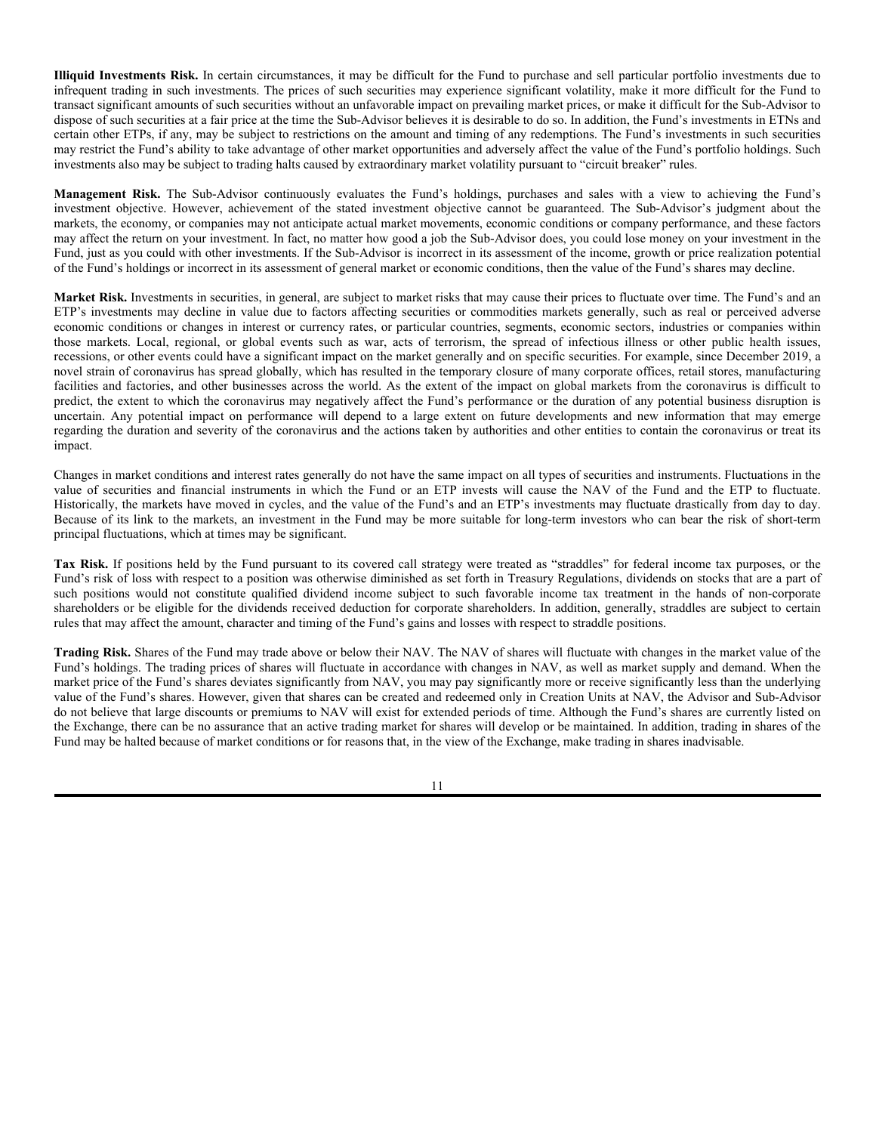**Illiquid Investments Risk.** In certain circumstances, it may be difficult for the Fund to purchase and sell particular portfolio investments due to infrequent trading in such investments. The prices of such securities may experience significant volatility, make it more difficult for the Fund to transact significant amounts of such securities without an unfavorable impact on prevailing market prices, or make it difficult for the Sub-Advisor to dispose of such securities at a fair price at the time the Sub-Advisor believes it is desirable to do so. In addition, the Fund's investments in ETNs and certain other ETPs, if any, may be subject to restrictions on the amount and timing of any redemptions. The Fund's investments in such securities may restrict the Fund's ability to take advantage of other market opportunities and adversely affect the value of the Fund's portfolio holdings. Such investments also may be subject to trading halts caused by extraordinary market volatility pursuant to "circuit breaker" rules.

**Management Risk.** The Sub-Advisor continuously evaluates the Fund's holdings, purchases and sales with a view to achieving the Fund's investment objective. However, achievement of the stated investment objective cannot be guaranteed. The Sub-Advisor's judgment about the markets, the economy, or companies may not anticipate actual market movements, economic conditions or company performance, and these factors may affect the return on your investment. In fact, no matter how good a job the Sub-Advisor does, you could lose money on your investment in the Fund, just as you could with other investments. If the Sub-Advisor is incorrect in its assessment of the income, growth or price realization potential of the Fund's holdings or incorrect in its assessment of general market or economic conditions, then the value of the Fund's shares may decline.

**Market Risk.** Investments in securities, in general, are subject to market risks that may cause their prices to fluctuate over time. The Fund's and an ETP's investments may decline in value due to factors affecting securities or commodities markets generally, such as real or perceived adverse economic conditions or changes in interest or currency rates, or particular countries, segments, economic sectors, industries or companies within those markets. Local, regional, or global events such as war, acts of terrorism, the spread of infectious illness or other public health issues, recessions, or other events could have a significant impact on the market generally and on specific securities. For example, since December 2019, a novel strain of coronavirus has spread globally, which has resulted in the temporary closure of many corporate offices, retail stores, manufacturing facilities and factories, and other businesses across the world. As the extent of the impact on global markets from the coronavirus is difficult to predict, the extent to which the coronavirus may negatively affect the Fund's performance or the duration of any potential business disruption is uncertain. Any potential impact on performance will depend to a large extent on future developments and new information that may emerge regarding the duration and severity of the coronavirus and the actions taken by authorities and other entities to contain the coronavirus or treat its impact.

Changes in market conditions and interest rates generally do not have the same impact on all types of securities and instruments. Fluctuations in the value of securities and financial instruments in which the Fund or an ETP invests will cause the NAV of the Fund and the ETP to fluctuate. Historically, the markets have moved in cycles, and the value of the Fund's and an ETP's investments may fluctuate drastically from day to day. Because of its link to the markets, an investment in the Fund may be more suitable for long-term investors who can bear the risk of short-term principal fluctuations, which at times may be significant.

**Tax Risk.** If positions held by the Fund pursuant to its covered call strategy were treated as "straddles" for federal income tax purposes, or the Fund's risk of loss with respect to a position was otherwise diminished as set forth in Treasury Regulations, dividends on stocks that are a part of such positions would not constitute qualified dividend income subject to such favorable income tax treatment in the hands of non-corporate shareholders or be eligible for the dividends received deduction for corporate shareholders. In addition, generally, straddles are subject to certain rules that may affect the amount, character and timing of the Fund's gains and losses with respect to straddle positions.

**Trading Risk.** Shares of the Fund may trade above or below their NAV. The NAV of shares will fluctuate with changes in the market value of the Fund's holdings. The trading prices of shares will fluctuate in accordance with changes in NAV, as well as market supply and demand. When the market price of the Fund's shares deviates significantly from NAV, you may pay significantly more or receive significantly less than the underlying value of the Fund's shares. However, given that shares can be created and redeemed only in Creation Units at NAV, the Advisor and Sub-Advisor do not believe that large discounts or premiums to NAV will exist for extended periods of time. Although the Fund's shares are currently listed on the Exchange, there can be no assurance that an active trading market for shares will develop or be maintained. In addition, trading in shares of the Fund may be halted because of market conditions or for reasons that, in the view of the Exchange, make trading in shares inadvisable.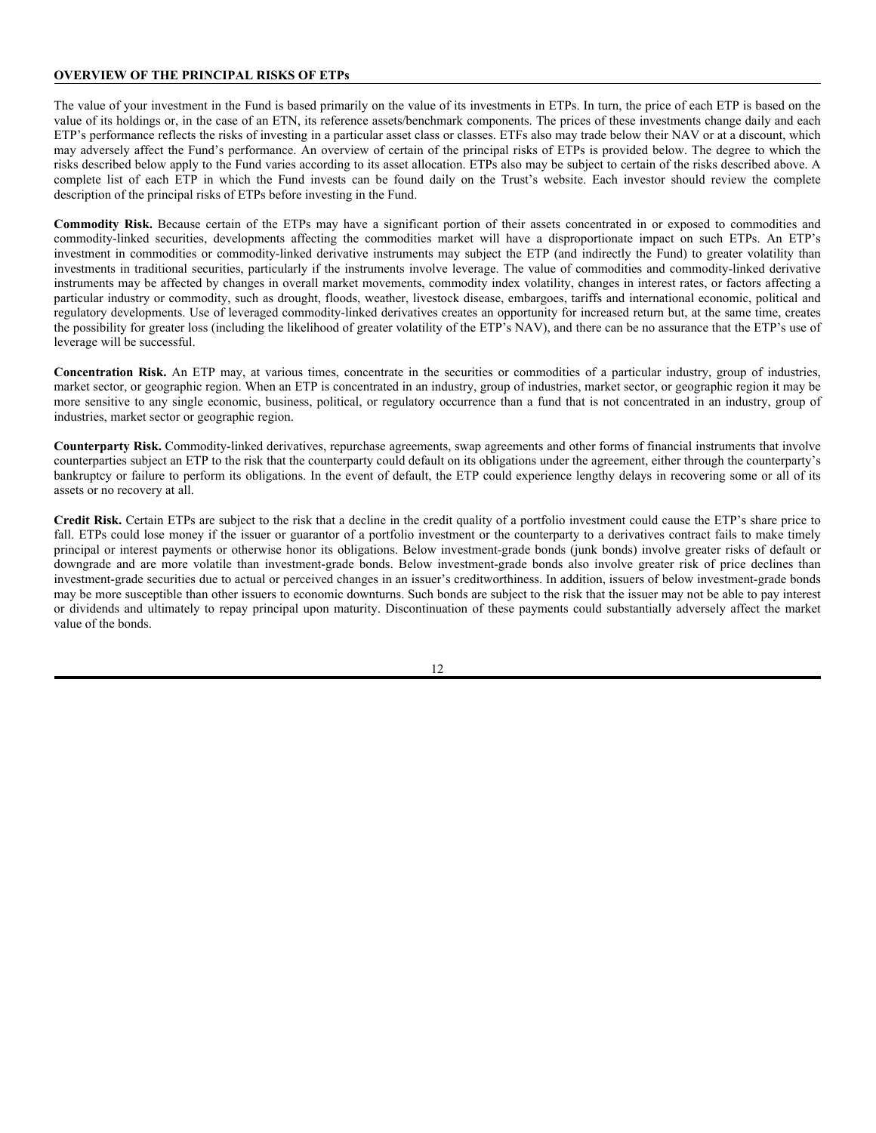#### **OVERVIEW OF THE PRINCIPAL RISKS OF ETPs**

The value of your investment in the Fund is based primarily on the value of its investments in ETPs. In turn, the price of each ETP is based on the value of its holdings or, in the case of an ETN, its reference assets/benchmark components. The prices of these investments change daily and each ETP's performance reflects the risks of investing in a particular asset class or classes. ETFs also may trade below their NAV or at a discount, which may adversely affect the Fund's performance. An overview of certain of the principal risks of ETPs is provided below. The degree to which the risks described below apply to the Fund varies according to its asset allocation. ETPs also may be subject to certain of the risks described above. A complete list of each ETP in which the Fund invests can be found daily on the Trust's website. Each investor should review the complete description of the principal risks of ETPs before investing in the Fund.

**Commodity Risk.** Because certain of the ETPs may have a significant portion of their assets concentrated in or exposed to commodities and commodity-linked securities, developments affecting the commodities market will have a disproportionate impact on such ETPs. An ETP's investment in commodities or commodity-linked derivative instruments may subject the ETP (and indirectly the Fund) to greater volatility than investments in traditional securities, particularly if the instruments involve leverage. The value of commodities and commodity-linked derivative instruments may be affected by changes in overall market movements, commodity index volatility, changes in interest rates, or factors affecting a particular industry or commodity, such as drought, floods, weather, livestock disease, embargoes, tariffs and international economic, political and regulatory developments. Use of leveraged commodity-linked derivatives creates an opportunity for increased return but, at the same time, creates the possibility for greater loss (including the likelihood of greater volatility of the ETP's NAV), and there can be no assurance that the ETP's use of leverage will be successful.

**Concentration Risk.** An ETP may, at various times, concentrate in the securities or commodities of a particular industry, group of industries, market sector, or geographic region. When an ETP is concentrated in an industry, group of industries, market sector, or geographic region it may be more sensitive to any single economic, business, political, or regulatory occurrence than a fund that is not concentrated in an industry, group of industries, market sector or geographic region.

**Counterparty Risk.** Commodity-linked derivatives, repurchase agreements, swap agreements and other forms of financial instruments that involve counterparties subject an ETP to the risk that the counterparty could default on its obligations under the agreement, either through the counterparty's bankruptcy or failure to perform its obligations. In the event of default, the ETP could experience lengthy delays in recovering some or all of its assets or no recovery at all.

**Credit Risk.** Certain ETPs are subject to the risk that a decline in the credit quality of a portfolio investment could cause the ETP's share price to fall. ETPs could lose money if the issuer or guarantor of a portfolio investment or the counterparty to a derivatives contract fails to make timely principal or interest payments or otherwise honor its obligations. Below investment-grade bonds (junk bonds) involve greater risks of default or downgrade and are more volatile than investment-grade bonds. Below investment-grade bonds also involve greater risk of price declines than investment-grade securities due to actual or perceived changes in an issuer's creditworthiness. In addition, issuers of below investment-grade bonds may be more susceptible than other issuers to economic downturns. Such bonds are subject to the risk that the issuer may not be able to pay interest or dividends and ultimately to repay principal upon maturity. Discontinuation of these payments could substantially adversely affect the market value of the bonds.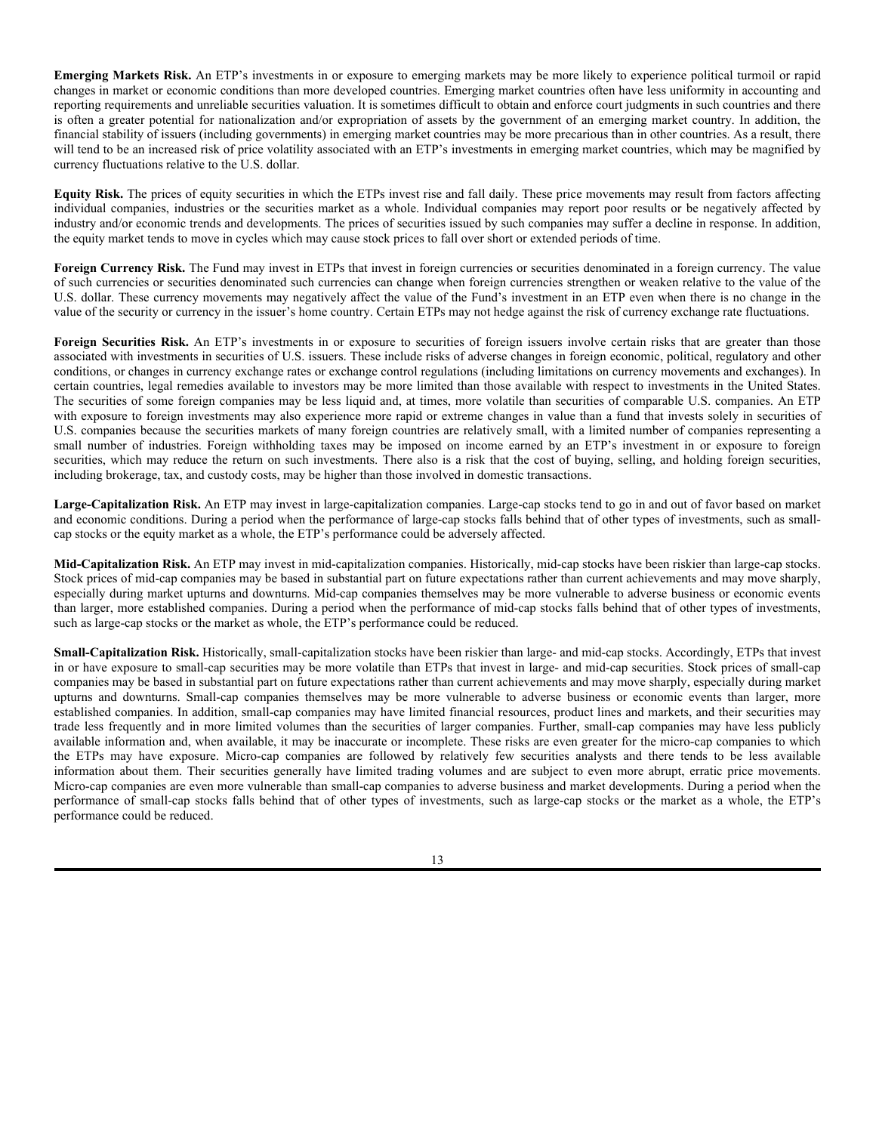**Emerging Markets Risk.** An ETP's investments in or exposure to emerging markets may be more likely to experience political turmoil or rapid changes in market or economic conditions than more developed countries. Emerging market countries often have less uniformity in accounting and reporting requirements and unreliable securities valuation. It is sometimes difficult to obtain and enforce court judgments in such countries and there is often a greater potential for nationalization and/or expropriation of assets by the government of an emerging market country. In addition, the financial stability of issuers (including governments) in emerging market countries may be more precarious than in other countries. As a result, there will tend to be an increased risk of price volatility associated with an ETP's investments in emerging market countries, which may be magnified by currency fluctuations relative to the U.S. dollar.

**Equity Risk.** The prices of equity securities in which the ETPs invest rise and fall daily. These price movements may result from factors affecting individual companies, industries or the securities market as a whole. Individual companies may report poor results or be negatively affected by industry and/or economic trends and developments. The prices of securities issued by such companies may suffer a decline in response. In addition, the equity market tends to move in cycles which may cause stock prices to fall over short or extended periods of time.

**Foreign Currency Risk.** The Fund may invest in ETPs that invest in foreign currencies or securities denominated in a foreign currency. The value of such currencies or securities denominated such currencies can change when foreign currencies strengthen or weaken relative to the value of the U.S. dollar. These currency movements may negatively affect the value of the Fund's investment in an ETP even when there is no change in the value of the security or currency in the issuer's home country. Certain ETPs may not hedge against the risk of currency exchange rate fluctuations.

Foreign Securities Risk. An ETP's investments in or exposure to securities of foreign issuers involve certain risks that are greater than those associated with investments in securities of U.S. issuers. These include risks of adverse changes in foreign economic, political, regulatory and other conditions, or changes in currency exchange rates or exchange control regulations (including limitations on currency movements and exchanges). In certain countries, legal remedies available to investors may be more limited than those available with respect to investments in the United States. The securities of some foreign companies may be less liquid and, at times, more volatile than securities of comparable U.S. companies. An ETP with exposure to foreign investments may also experience more rapid or extreme changes in value than a fund that invests solely in securities of U.S. companies because the securities markets of many foreign countries are relatively small, with a limited number of companies representing a small number of industries. Foreign withholding taxes may be imposed on income earned by an ETP's investment in or exposure to foreign securities, which may reduce the return on such investments. There also is a risk that the cost of buying, selling, and holding foreign securities, including brokerage, tax, and custody costs, may be higher than those involved in domestic transactions.

**Large-Capitalization Risk.** An ETP may invest in large-capitalization companies. Large-cap stocks tend to go in and out of favor based on market and economic conditions. During a period when the performance of large-cap stocks falls behind that of other types of investments, such as smallcap stocks or the equity market as a whole, the ETP's performance could be adversely affected.

**Mid-Capitalization Risk.** An ETP may invest in mid-capitalization companies. Historically, mid-cap stocks have been riskier than large-cap stocks. Stock prices of mid-cap companies may be based in substantial part on future expectations rather than current achievements and may move sharply, especially during market upturns and downturns. Mid-cap companies themselves may be more vulnerable to adverse business or economic events than larger, more established companies. During a period when the performance of mid-cap stocks falls behind that of other types of investments, such as large-cap stocks or the market as whole, the ETP's performance could be reduced.

**Small-Capitalization Risk.** Historically, small-capitalization stocks have been riskier than large- and mid-cap stocks. Accordingly, ETPs that invest in or have exposure to small-cap securities may be more volatile than ETPs that invest in large- and mid-cap securities. Stock prices of small-cap companies may be based in substantial part on future expectations rather than current achievements and may move sharply, especially during market upturns and downturns. Small-cap companies themselves may be more vulnerable to adverse business or economic events than larger, more established companies. In addition, small-cap companies may have limited financial resources, product lines and markets, and their securities may trade less frequently and in more limited volumes than the securities of larger companies. Further, small-cap companies may have less publicly available information and, when available, it may be inaccurate or incomplete. These risks are even greater for the micro-cap companies to which the ETPs may have exposure. Micro-cap companies are followed by relatively few securities analysts and there tends to be less available information about them. Their securities generally have limited trading volumes and are subject to even more abrupt, erratic price movements. Micro-cap companies are even more vulnerable than small-cap companies to adverse business and market developments. During a period when the performance of small-cap stocks falls behind that of other types of investments, such as large-cap stocks or the market as a whole, the ETP's performance could be reduced.

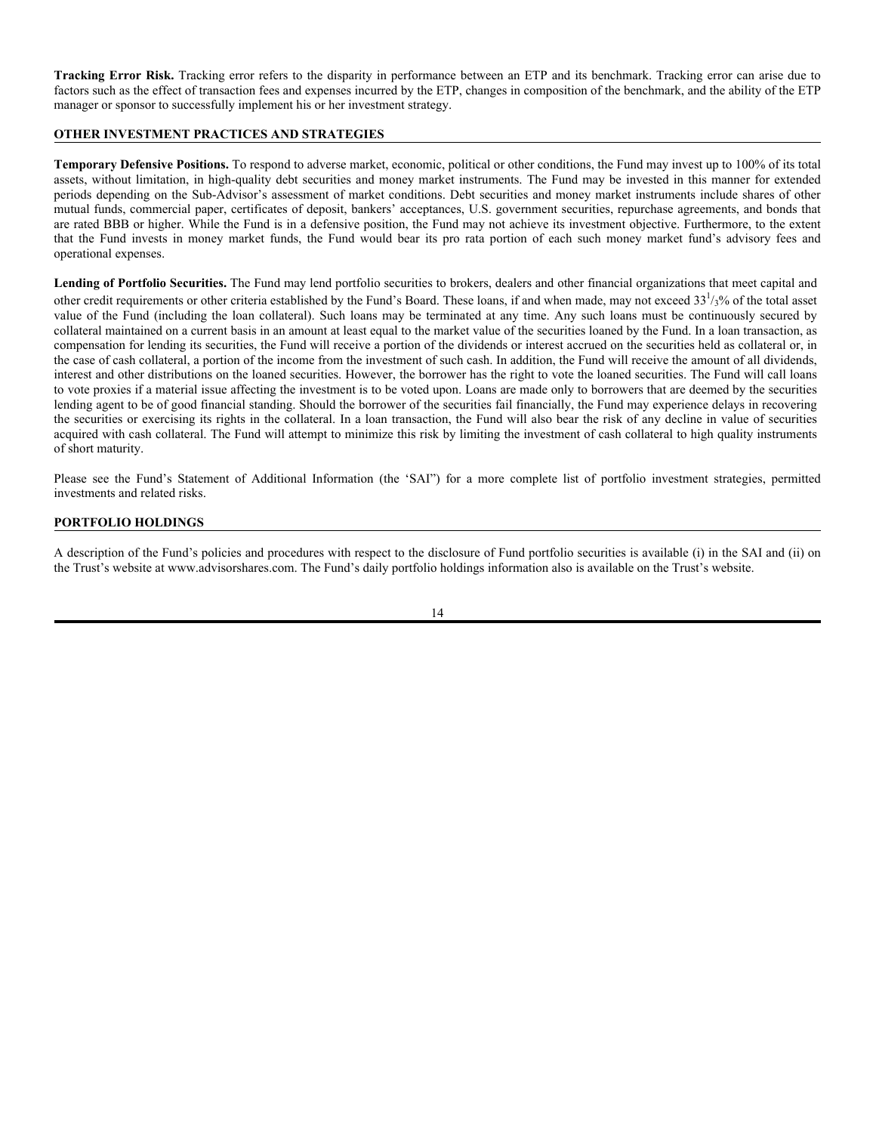**Tracking Error Risk.** Tracking error refers to the disparity in performance between an ETP and its benchmark. Tracking error can arise due to factors such as the effect of transaction fees and expenses incurred by the ETP, changes in composition of the benchmark, and the ability of the ETP manager or sponsor to successfully implement his or her investment strategy.

# **OTHER INVESTMENT PRACTICES AND STRATEGIES**

**Temporary Defensive Positions.** To respond to adverse market, economic, political or other conditions, the Fund may invest up to 100% of its total assets, without limitation, in high-quality debt securities and money market instruments. The Fund may be invested in this manner for extended periods depending on the Sub-Advisor's assessment of market conditions. Debt securities and money market instruments include shares of other mutual funds, commercial paper, certificates of deposit, bankers' acceptances, U.S. government securities, repurchase agreements, and bonds that are rated BBB or higher. While the Fund is in a defensive position, the Fund may not achieve its investment objective. Furthermore, to the extent that the Fund invests in money market funds, the Fund would bear its pro rata portion of each such money market fund's advisory fees and operational expenses.

**Lending of Portfolio Securities.** The Fund may lend portfolio securities to brokers, dealers and other financial organizations that meet capital and other credit requirements or other criteria established by the Fund's Board. These loans, if and when made, may not exceed  $33^{1/3}$ % of the total asset value of the Fund (including the loan collateral). Such loans may be terminated at any time. Any such loans must be continuously secured by collateral maintained on a current basis in an amount at least equal to the market value of the securities loaned by the Fund. In a loan transaction, as compensation for lending its securities, the Fund will receive a portion of the dividends or interest accrued on the securities held as collateral or, in the case of cash collateral, a portion of the income from the investment of such cash. In addition, the Fund will receive the amount of all dividends, interest and other distributions on the loaned securities. However, the borrower has the right to vote the loaned securities. The Fund will call loans to vote proxies if a material issue affecting the investment is to be voted upon. Loans are made only to borrowers that are deemed by the securities lending agent to be of good financial standing. Should the borrower of the securities fail financially, the Fund may experience delays in recovering the securities or exercising its rights in the collateral. In a loan transaction, the Fund will also bear the risk of any decline in value of securities acquired with cash collateral. The Fund will attempt to minimize this risk by limiting the investment of cash collateral to high quality instruments of short maturity.

Please see the Fund's Statement of Additional Information (the 'SAI") for a more complete list of portfolio investment strategies, permitted investments and related risks.

#### **PORTFOLIO HOLDINGS**

A description of the Fund's policies and procedures with respect to the disclosure of Fund portfolio securities is available (i) in the SAI and (ii) on the Trust's website at www.advisorshares.com. The Fund's daily portfolio holdings information also is available on the Trust's website.

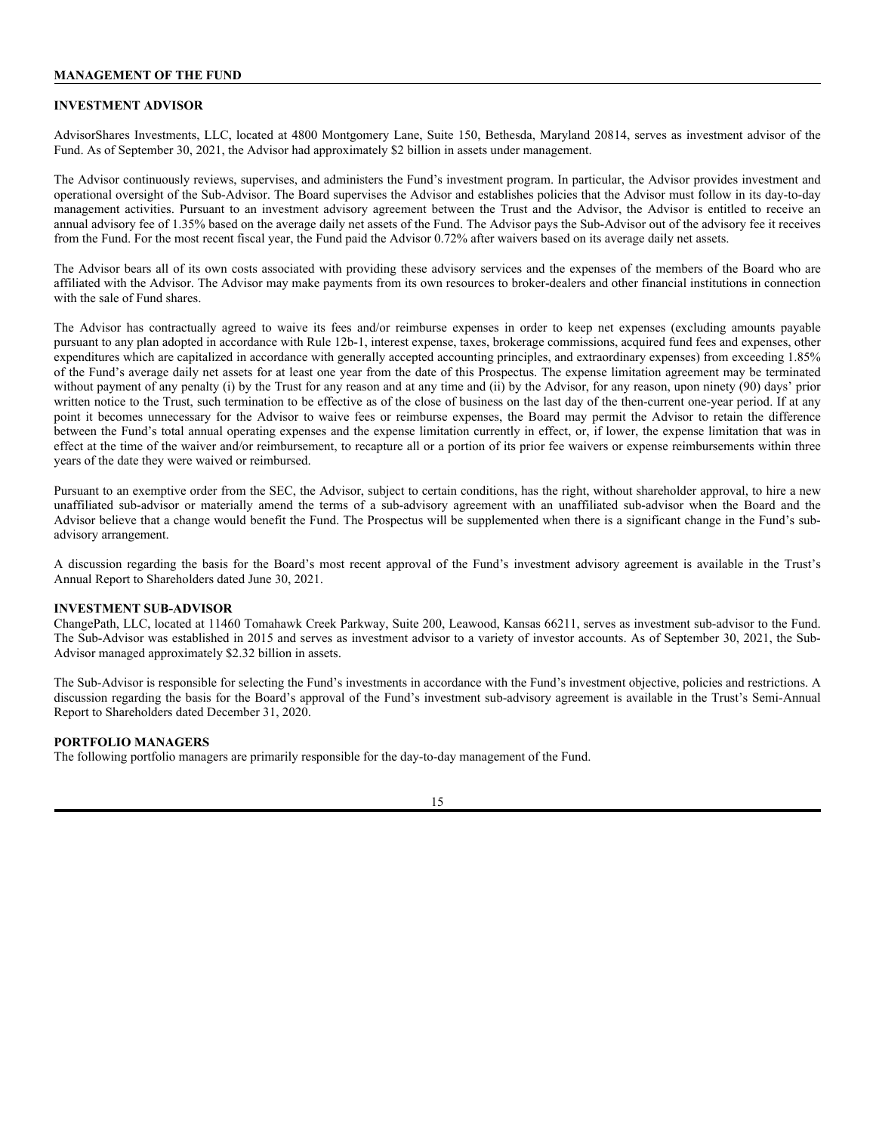#### **MANAGEMENT OF THE FUND**

#### **INVESTMENT ADVISOR**

AdvisorShares Investments, LLC, located at 4800 Montgomery Lane, Suite 150, Bethesda, Maryland 20814, serves as investment advisor of the Fund. As of September 30, 2021, the Advisor had approximately \$2 billion in assets under management.

The Advisor continuously reviews, supervises, and administers the Fund's investment program. In particular, the Advisor provides investment and operational oversight of the Sub-Advisor. The Board supervises the Advisor and establishes policies that the Advisor must follow in its day-to-day management activities. Pursuant to an investment advisory agreement between the Trust and the Advisor, the Advisor is entitled to receive an annual advisory fee of 1.35% based on the average daily net assets of the Fund. The Advisor pays the Sub-Advisor out of the advisory fee it receives from the Fund. For the most recent fiscal year, the Fund paid the Advisor 0.72% after waivers based on its average daily net assets.

The Advisor bears all of its own costs associated with providing these advisory services and the expenses of the members of the Board who are affiliated with the Advisor. The Advisor may make payments from its own resources to broker-dealers and other financial institutions in connection with the sale of Fund shares.

The Advisor has contractually agreed to waive its fees and/or reimburse expenses in order to keep net expenses (excluding amounts payable pursuant to any plan adopted in accordance with Rule 12b-1, interest expense, taxes, brokerage commissions, acquired fund fees and expenses, other expenditures which are capitalized in accordance with generally accepted accounting principles, and extraordinary expenses) from exceeding 1.85% of the Fund's average daily net assets for at least one year from the date of this Prospectus. The expense limitation agreement may be terminated without payment of any penalty (i) by the Trust for any reason and at any time and (ii) by the Advisor, for any reason, upon ninety (90) days' prior written notice to the Trust, such termination to be effective as of the close of business on the last day of the then-current one-year period. If at any point it becomes unnecessary for the Advisor to waive fees or reimburse expenses, the Board may permit the Advisor to retain the difference between the Fund's total annual operating expenses and the expense limitation currently in effect, or, if lower, the expense limitation that was in effect at the time of the waiver and/or reimbursement, to recapture all or a portion of its prior fee waivers or expense reimbursements within three years of the date they were waived or reimbursed.

Pursuant to an exemptive order from the SEC, the Advisor, subject to certain conditions, has the right, without shareholder approval, to hire a new unaffiliated sub-advisor or materially amend the terms of a sub-advisory agreement with an unaffiliated sub-advisor when the Board and the Advisor believe that a change would benefit the Fund. The Prospectus will be supplemented when there is a significant change in the Fund's subadvisory arrangement.

A discussion regarding the basis for the Board's most recent approval of the Fund's investment advisory agreement is available in the Trust's Annual Report to Shareholders dated June 30, 2021.

#### **INVESTMENT SUB-ADVISOR**

ChangePath, LLC, located at 11460 Tomahawk Creek Parkway, Suite 200, Leawood, Kansas 66211, serves as investment sub-advisor to the Fund. The Sub-Advisor was established in 2015 and serves as investment advisor to a variety of investor accounts. As of September 30, 2021, the Sub-Advisor managed approximately \$2.32 billion in assets.

The Sub-Advisor is responsible for selecting the Fund's investments in accordance with the Fund's investment objective, policies and restrictions. A discussion regarding the basis for the Board's approval of the Fund's investment sub-advisory agreement is available in the Trust's Semi-Annual Report to Shareholders dated December 31, 2020.

#### **PORTFOLIO MANAGERS**

The following portfolio managers are primarily responsible for the day-to-day management of the Fund.

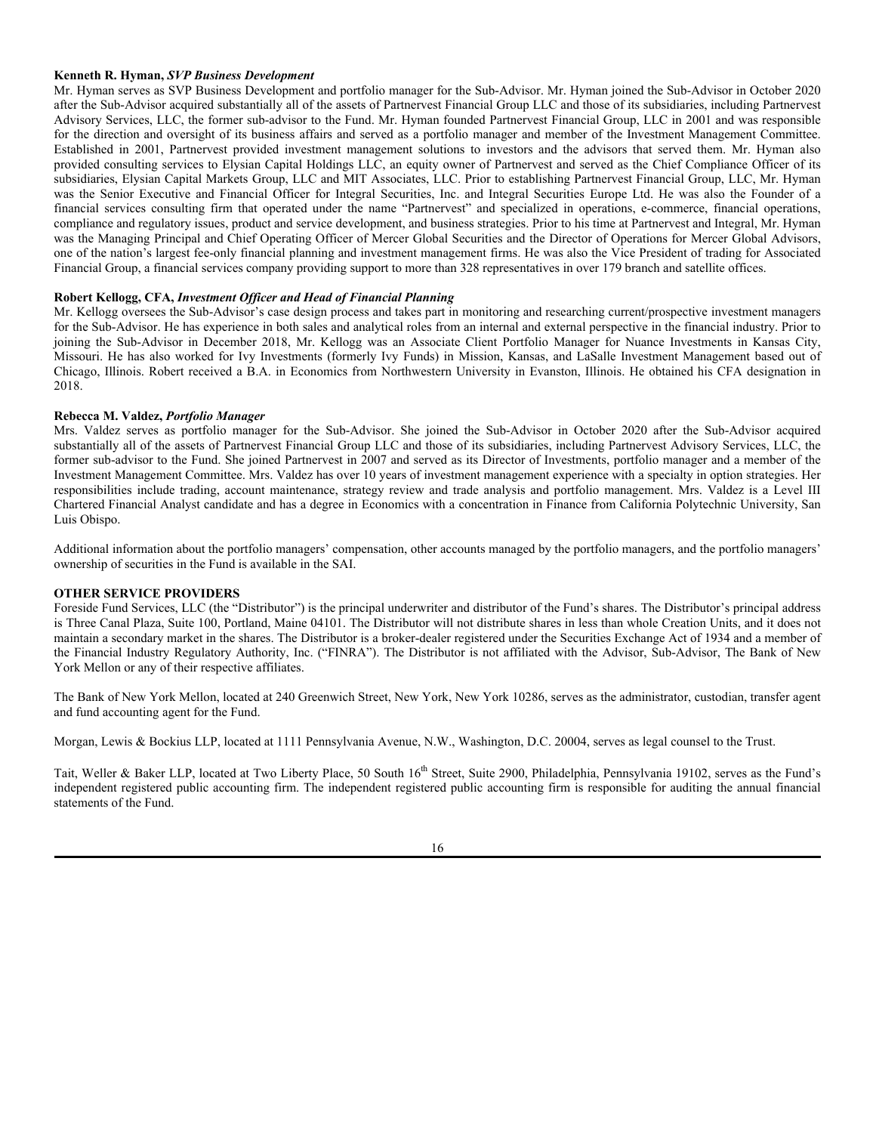#### **Kenneth R. Hyman,** *SVP Business Development*

Mr. Hyman serves as SVP Business Development and portfolio manager for the Sub-Advisor. Mr. Hyman joined the Sub-Advisor in October 2020 after the Sub-Advisor acquired substantially all of the assets of Partnervest Financial Group LLC and those of its subsidiaries, including Partnervest Advisory Services, LLC, the former sub-advisor to the Fund. Mr. Hyman founded Partnervest Financial Group, LLC in 2001 and was responsible for the direction and oversight of its business affairs and served as a portfolio manager and member of the Investment Management Committee. Established in 2001, Partnervest provided investment management solutions to investors and the advisors that served them. Mr. Hyman also provided consulting services to Elysian Capital Holdings LLC, an equity owner of Partnervest and served as the Chief Compliance Officer of its subsidiaries, Elysian Capital Markets Group, LLC and MIT Associates, LLC. Prior to establishing Partnervest Financial Group, LLC, Mr. Hyman was the Senior Executive and Financial Officer for Integral Securities, Inc. and Integral Securities Europe Ltd. He was also the Founder of a financial services consulting firm that operated under the name "Partnervest" and specialized in operations, e-commerce, financial operations, compliance and regulatory issues, product and service development, and business strategies. Prior to his time at Partnervest and Integral, Mr. Hyman was the Managing Principal and Chief Operating Officer of Mercer Global Securities and the Director of Operations for Mercer Global Advisors, one of the nation's largest fee-only financial planning and investment management firms. He was also the Vice President of trading for Associated Financial Group, a financial services company providing support to more than 328 representatives in over 179 branch and satellite offices.

#### **Robert Kellogg, CFA,** *Investment Officer and Head of Financial Planning*

Mr. Kellogg oversees the Sub-Advisor's case design process and takes part in monitoring and researching current/prospective investment managers for the Sub-Advisor. He has experience in both sales and analytical roles from an internal and external perspective in the financial industry. Prior to joining the Sub-Advisor in December 2018, Mr. Kellogg was an Associate Client Portfolio Manager for Nuance Investments in Kansas City, Missouri. He has also worked for Ivy Investments (formerly Ivy Funds) in Mission, Kansas, and LaSalle Investment Management based out of Chicago, Illinois. Robert received a B.A. in Economics from Northwestern University in Evanston, Illinois. He obtained his CFA designation in 2018.

#### **Rebecca M. Valdez,** *Portfolio Manager*

Mrs. Valdez serves as portfolio manager for the Sub-Advisor. She joined the Sub-Advisor in October 2020 after the Sub-Advisor acquired substantially all of the assets of Partnervest Financial Group LLC and those of its subsidiaries, including Partnervest Advisory Services, LLC, the former sub-advisor to the Fund. She joined Partnervest in 2007 and served as its Director of Investments, portfolio manager and a member of the Investment Management Committee. Mrs. Valdez has over 10 years of investment management experience with a specialty in option strategies. Her responsibilities include trading, account maintenance, strategy review and trade analysis and portfolio management. Mrs. Valdez is a Level III Chartered Financial Analyst candidate and has a degree in Economics with a concentration in Finance from California Polytechnic University, San Luis Obispo.

Additional information about the portfolio managers' compensation, other accounts managed by the portfolio managers, and the portfolio managers' ownership of securities in the Fund is available in the SAI.

# **OTHER SERVICE PROVIDERS**

Foreside Fund Services, LLC (the "Distributor") is the principal underwriter and distributor of the Fund's shares. The Distributor's principal address is Three Canal Plaza, Suite 100, Portland, Maine 04101. The Distributor will not distribute shares in less than whole Creation Units, and it does not maintain a secondary market in the shares. The Distributor is a broker-dealer registered under the Securities Exchange Act of 1934 and a member of the Financial Industry Regulatory Authority, Inc. ("FINRA"). The Distributor is not affiliated with the Advisor, Sub-Advisor, The Bank of New York Mellon or any of their respective affiliates.

The Bank of New York Mellon, located at 240 Greenwich Street, New York, New York 10286, serves as the administrator, custodian, transfer agent and fund accounting agent for the Fund.

Morgan, Lewis & Bockius LLP, located at 1111 Pennsylvania Avenue, N.W., Washington, D.C. 20004, serves as legal counsel to the Trust.

Tait, Weller & Baker LLP, located at Two Liberty Place, 50 South 16<sup>th</sup> Street, Suite 2900, Philadelphia, Pennsylvania 19102, serves as the Fund's independent registered public accounting firm. The independent registered public accounting firm is responsible for auditing the annual financial statements of the Fund.

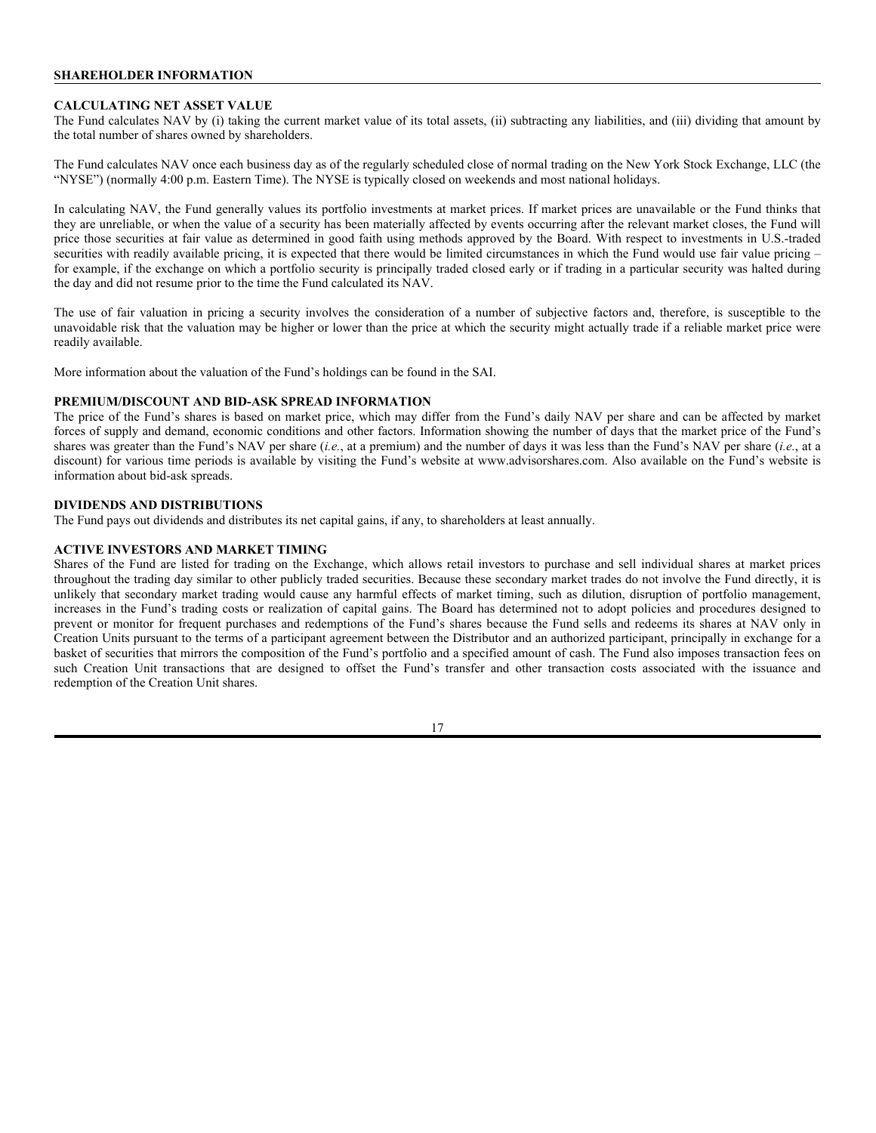# **SHAREHOLDER INFORMATION**

#### **CALCULATING NET ASSET VALUE**

The Fund calculates NAV by (i) taking the current market value of its total assets, (ii) subtracting any liabilities, and (iii) dividing that amount by the total number of shares owned by shareholders.

The Fund calculates NAV once each business day as of the regularly scheduled close of normal trading on the New York Stock Exchange, LLC (the "NYSE") (normally 4:00 p.m. Eastern Time). The NYSE is typically closed on weekends and most national holidays.

In calculating NAV, the Fund generally values its portfolio investments at market prices. If market prices are unavailable or the Fund thinks that they are unreliable, or when the value of a security has been materially affected by events occurring after the relevant market closes, the Fund will price those securities at fair value as determined in good faith using methods approved by the Board. With respect to investments in U.S.-traded securities with readily available pricing, it is expected that there would be limited circumstances in which the Fund would use fair value pricing – for example, if the exchange on which a portfolio security is principally traded closed early or if trading in a particular security was halted during the day and did not resume prior to the time the Fund calculated its NAV.

The use of fair valuation in pricing a security involves the consideration of a number of subjective factors and, therefore, is susceptible to the unavoidable risk that the valuation may be higher or lower than the price at which the security might actually trade if a reliable market price were readily available.

More information about the valuation of the Fund's holdings can be found in the SAI.

#### **PREMIUM/DISCOUNT AND BID-ASK SPREAD INFORMATION**

The price of the Fund's shares is based on market price, which may differ from the Fund's daily NAV per share and can be affected by market forces of supply and demand, economic conditions and other factors. Information showing the number of days that the market price of the Fund's shares was greater than the Fund's NAV per share (*i.e.*, at a premium) and the number of days it was less than the Fund's NAV per share (*i.e.*, at a discount) for various time periods is available by visiting the Fund's website at www.advisorshares.com. Also available on the Fund's website is information about bid-ask spreads.

#### **DIVIDENDS AND DISTRIBUTIONS**

The Fund pays out dividends and distributes its net capital gains, if any, to shareholders at least annually.

#### **ACTIVE INVESTORS AND MARKET TIMING**

Shares of the Fund are listed for trading on the Exchange, which allows retail investors to purchase and sell individual shares at market prices throughout the trading day similar to other publicly traded securities. Because these secondary market trades do not involve the Fund directly, it is unlikely that secondary market trading would cause any harmful effects of market timing, such as dilution, disruption of portfolio management, increases in the Fund's trading costs or realization of capital gains. The Board has determined not to adopt policies and procedures designed to prevent or monitor for frequent purchases and redemptions of the Fund's shares because the Fund sells and redeems its shares at NAV only in Creation Units pursuant to the terms of a participant agreement between the Distributor and an authorized participant, principally in exchange for a basket of securities that mirrors the composition of the Fund's portfolio and a specified amount of cash. The Fund also imposes transaction fees on such Creation Unit transactions that are designed to offset the Fund's transfer and other transaction costs associated with the issuance and redemption of the Creation Unit shares.

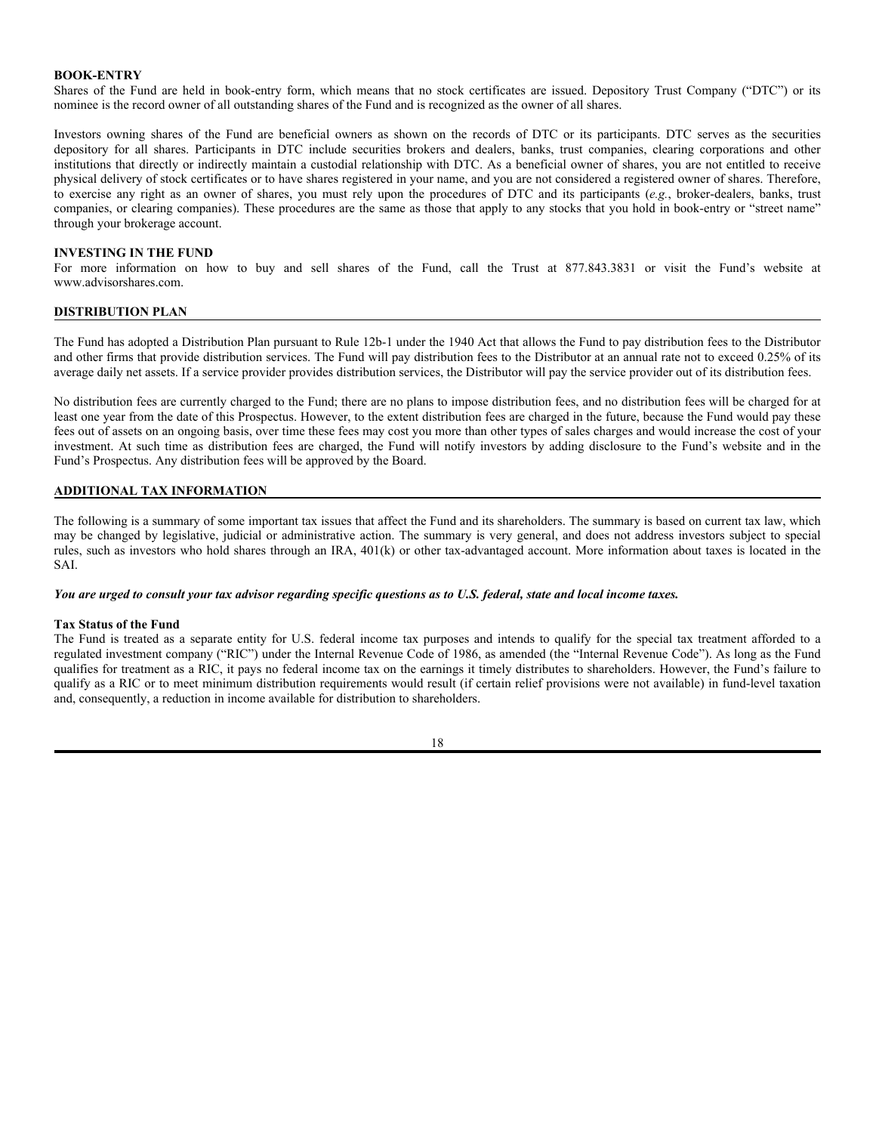#### **BOOK-ENTRY**

Shares of the Fund are held in book-entry form, which means that no stock certificates are issued. Depository Trust Company ("DTC") or its nominee is the record owner of all outstanding shares of the Fund and is recognized as the owner of all shares.

Investors owning shares of the Fund are beneficial owners as shown on the records of DTC or its participants. DTC serves as the securities depository for all shares. Participants in DTC include securities brokers and dealers, banks, trust companies, clearing corporations and other institutions that directly or indirectly maintain a custodial relationship with DTC. As a beneficial owner of shares, you are not entitled to receive physical delivery of stock certificates or to have shares registered in your name, and you are not considered a registered owner of shares. Therefore, to exercise any right as an owner of shares, you must rely upon the procedures of DTC and its participants (*e.g.*, broker-dealers, banks, trust companies, or clearing companies). These procedures are the same as those that apply to any stocks that you hold in book-entry or "street name" through your brokerage account.

#### **INVESTING IN THE FUND**

For more information on how to buy and sell shares of the Fund, call the Trust at 877.843.3831 or visit the Fund's website at www.advisorshares.com.

# **DISTRIBUTION PLAN**

The Fund has adopted a Distribution Plan pursuant to Rule 12b-1 under the 1940 Act that allows the Fund to pay distribution fees to the Distributor and other firms that provide distribution services. The Fund will pay distribution fees to the Distributor at an annual rate not to exceed 0.25% of its average daily net assets. If a service provider provides distribution services, the Distributor will pay the service provider out of its distribution fees.

No distribution fees are currently charged to the Fund; there are no plans to impose distribution fees, and no distribution fees will be charged for at least one year from the date of this Prospectus. However, to the extent distribution fees are charged in the future, because the Fund would pay these fees out of assets on an ongoing basis, over time these fees may cost you more than other types of sales charges and would increase the cost of your investment. At such time as distribution fees are charged, the Fund will notify investors by adding disclosure to the Fund's website and in the Fund's Prospectus. Any distribution fees will be approved by the Board.

# **ADDITIONAL TAX INFORMATION**

The following is a summary of some important tax issues that affect the Fund and its shareholders. The summary is based on current tax law, which may be changed by legislative, judicial or administrative action. The summary is very general, and does not address investors subject to special rules, such as investors who hold shares through an IRA, 401(k) or other tax-advantaged account. More information about taxes is located in the SAI.

#### *You are urged to consult your tax advisor regarding specific questions as to U.S. federal, state and local income taxes.*

#### **Tax Status of the Fund**

The Fund is treated as a separate entity for U.S. federal income tax purposes and intends to qualify for the special tax treatment afforded to a regulated investment company ("RIC") under the Internal Revenue Code of 1986, as amended (the "Internal Revenue Code"). As long as the Fund qualifies for treatment as a RIC, it pays no federal income tax on the earnings it timely distributes to shareholders. However, the Fund's failure to qualify as a RIC or to meet minimum distribution requirements would result (if certain relief provisions were not available) in fund-level taxation and, consequently, a reduction in income available for distribution to shareholders.

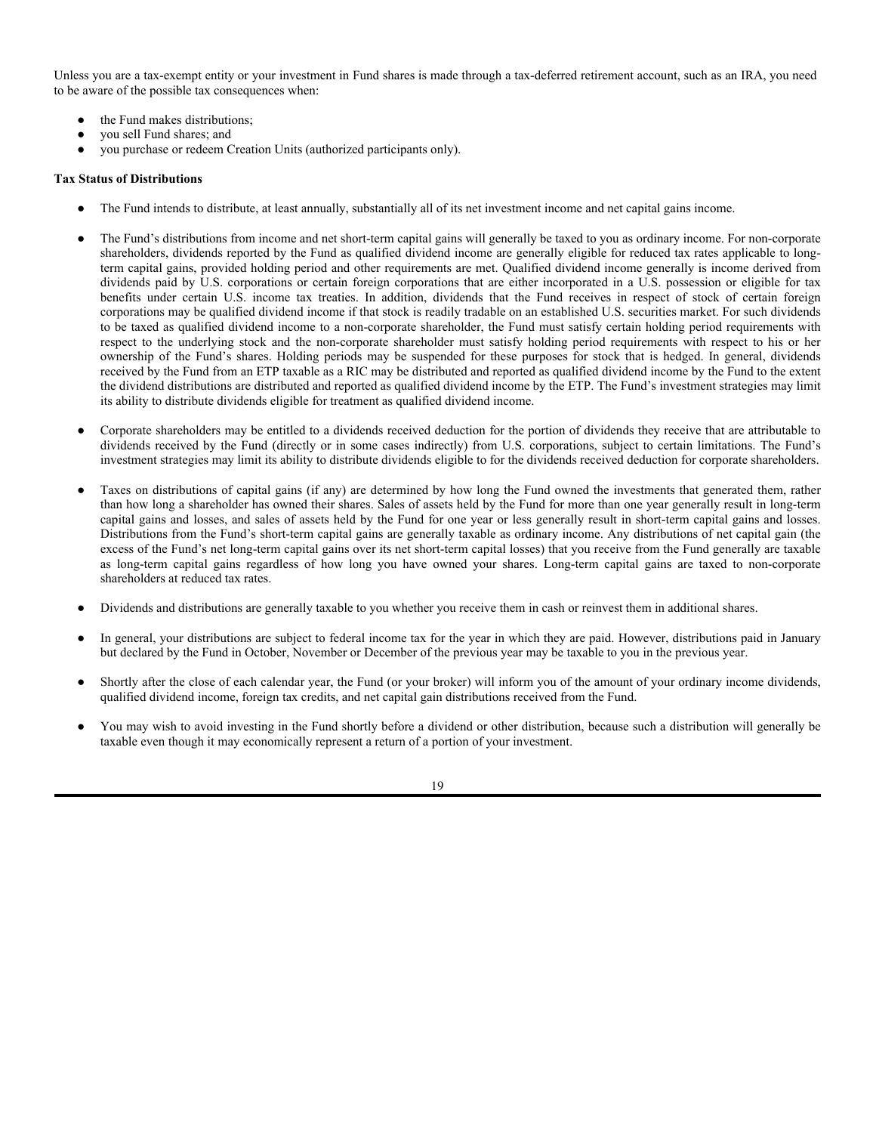Unless you are a tax-exempt entity or your investment in Fund shares is made through a tax-deferred retirement account, such as an IRA, you need to be aware of the possible tax consequences when:

- the Fund makes distributions;
- you sell Fund shares; and
- you purchase or redeem Creation Units (authorized participants only).

# **Tax Status of Distributions**

- The Fund intends to distribute, at least annually, substantially all of its net investment income and net capital gains income.
- The Fund's distributions from income and net short-term capital gains will generally be taxed to you as ordinary income. For non-corporate shareholders, dividends reported by the Fund as qualified dividend income are generally eligible for reduced tax rates applicable to longterm capital gains, provided holding period and other requirements are met. Qualified dividend income generally is income derived from dividends paid by U.S. corporations or certain foreign corporations that are either incorporated in a U.S. possession or eligible for tax benefits under certain U.S. income tax treaties. In addition, dividends that the Fund receives in respect of stock of certain foreign corporations may be qualified dividend income if that stock is readily tradable on an established U.S. securities market. For such dividends to be taxed as qualified dividend income to a non-corporate shareholder, the Fund must satisfy certain holding period requirements with respect to the underlying stock and the non-corporate shareholder must satisfy holding period requirements with respect to his or her ownership of the Fund's shares. Holding periods may be suspended for these purposes for stock that is hedged. In general, dividends received by the Fund from an ETP taxable as a RIC may be distributed and reported as qualified dividend income by the Fund to the extent the dividend distributions are distributed and reported as qualified dividend income by the ETP. The Fund's investment strategies may limit its ability to distribute dividends eligible for treatment as qualified dividend income.
- Corporate shareholders may be entitled to a dividends received deduction for the portion of dividends they receive that are attributable to dividends received by the Fund (directly or in some cases indirectly) from U.S. corporations, subject to certain limitations. The Fund's investment strategies may limit its ability to distribute dividends eligible to for the dividends received deduction for corporate shareholders.
- Taxes on distributions of capital gains (if any) are determined by how long the Fund owned the investments that generated them, rather than how long a shareholder has owned their shares. Sales of assets held by the Fund for more than one year generally result in long-term capital gains and losses, and sales of assets held by the Fund for one year or less generally result in short-term capital gains and losses. Distributions from the Fund's short-term capital gains are generally taxable as ordinary income. Any distributions of net capital gain (the excess of the Fund's net long-term capital gains over its net short-term capital losses) that you receive from the Fund generally are taxable as long-term capital gains regardless of how long you have owned your shares. Long-term capital gains are taxed to non-corporate shareholders at reduced tax rates.
- Dividends and distributions are generally taxable to you whether you receive them in cash or reinvest them in additional shares.
- In general, your distributions are subject to federal income tax for the year in which they are paid. However, distributions paid in January but declared by the Fund in October, November or December of the previous year may be taxable to you in the previous year.
- Shortly after the close of each calendar year, the Fund (or your broker) will inform you of the amount of your ordinary income dividends, qualified dividend income, foreign tax credits, and net capital gain distributions received from the Fund.
- You may wish to avoid investing in the Fund shortly before a dividend or other distribution, because such a distribution will generally be taxable even though it may economically represent a return of a portion of your investment.

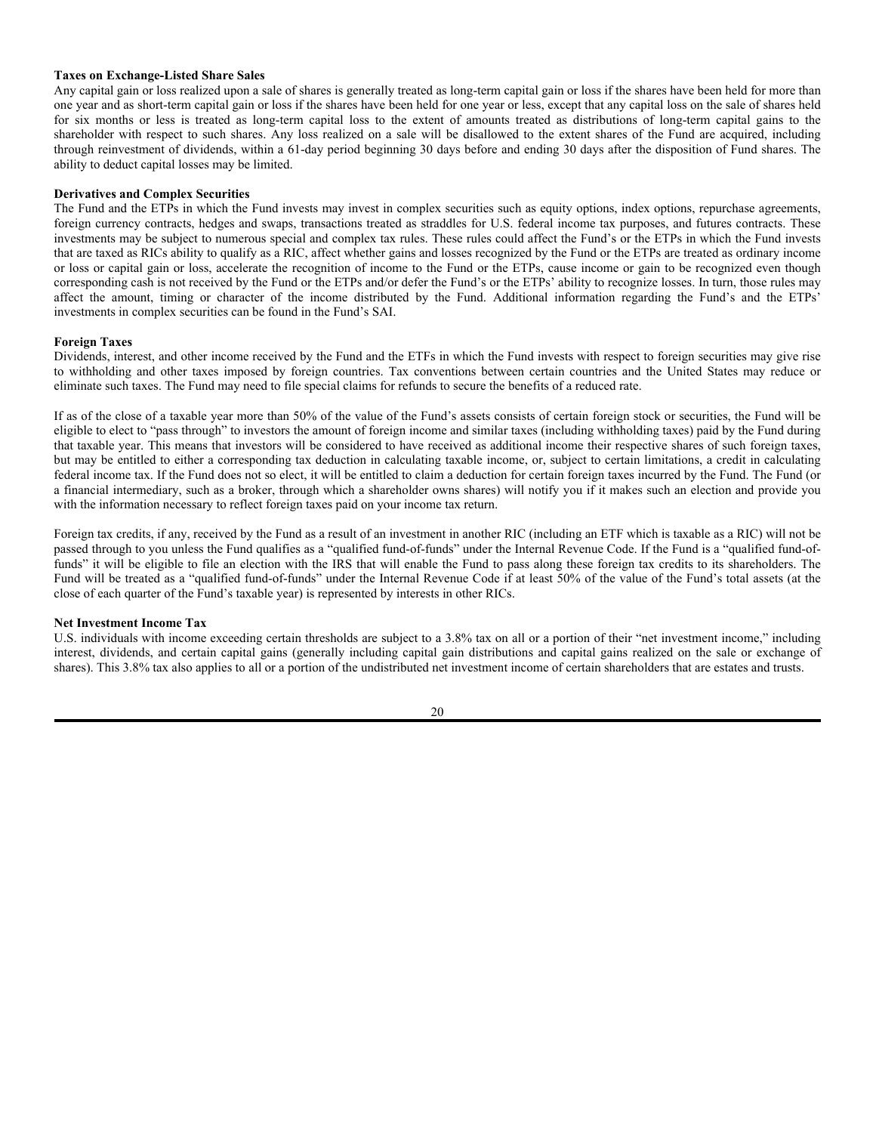#### **Taxes on Exchange-Listed Share Sales**

Any capital gain or loss realized upon a sale of shares is generally treated as long-term capital gain or loss if the shares have been held for more than one year and as short-term capital gain or loss if the shares have been held for one year or less, except that any capital loss on the sale of shares held for six months or less is treated as long-term capital loss to the extent of amounts treated as distributions of long-term capital gains to the shareholder with respect to such shares. Any loss realized on a sale will be disallowed to the extent shares of the Fund are acquired, including through reinvestment of dividends, within a 61-day period beginning 30 days before and ending 30 days after the disposition of Fund shares. The ability to deduct capital losses may be limited.

#### **Derivatives and Complex Securities**

The Fund and the ETPs in which the Fund invests may invest in complex securities such as equity options, index options, repurchase agreements, foreign currency contracts, hedges and swaps, transactions treated as straddles for U.S. federal income tax purposes, and futures contracts. These investments may be subject to numerous special and complex tax rules. These rules could affect the Fund's or the ETPs in which the Fund invests that are taxed as RICs ability to qualify as a RIC, affect whether gains and losses recognized by the Fund or the ETPs are treated as ordinary income or loss or capital gain or loss, accelerate the recognition of income to the Fund or the ETPs, cause income or gain to be recognized even though corresponding cash is not received by the Fund or the ETPs and/or defer the Fund's or the ETPs' ability to recognize losses. In turn, those rules may affect the amount, timing or character of the income distributed by the Fund. Additional information regarding the Fund's and the ETPs' investments in complex securities can be found in the Fund's SAI.

#### **Foreign Taxes**

Dividends, interest, and other income received by the Fund and the ETFs in which the Fund invests with respect to foreign securities may give rise to withholding and other taxes imposed by foreign countries. Tax conventions between certain countries and the United States may reduce or eliminate such taxes. The Fund may need to file special claims for refunds to secure the benefits of a reduced rate.

If as of the close of a taxable year more than 50% of the value of the Fund's assets consists of certain foreign stock or securities, the Fund will be eligible to elect to "pass through" to investors the amount of foreign income and similar taxes (including withholding taxes) paid by the Fund during that taxable year. This means that investors will be considered to have received as additional income their respective shares of such foreign taxes, but may be entitled to either a corresponding tax deduction in calculating taxable income, or, subject to certain limitations, a credit in calculating federal income tax. If the Fund does not so elect, it will be entitled to claim a deduction for certain foreign taxes incurred by the Fund. The Fund (or a financial intermediary, such as a broker, through which a shareholder owns shares) will notify you if it makes such an election and provide you with the information necessary to reflect foreign taxes paid on your income tax return.

Foreign tax credits, if any, received by the Fund as a result of an investment in another RIC (including an ETF which is taxable as a RIC) will not be passed through to you unless the Fund qualifies as a "qualified fund-of-funds" under the Internal Revenue Code. If the Fund is a "qualified fund-offunds" it will be eligible to file an election with the IRS that will enable the Fund to pass along these foreign tax credits to its shareholders. The Fund will be treated as a "qualified fund-of-funds" under the Internal Revenue Code if at least 50% of the value of the Fund's total assets (at the close of each quarter of the Fund's taxable year) is represented by interests in other RICs.

#### **Net Investment Income Tax**

U.S. individuals with income exceeding certain thresholds are subject to a 3.8% tax on all or a portion of their "net investment income," including interest, dividends, and certain capital gains (generally including capital gain distributions and capital gains realized on the sale or exchange of shares). This 3.8% tax also applies to all or a portion of the undistributed net investment income of certain shareholders that are estates and trusts.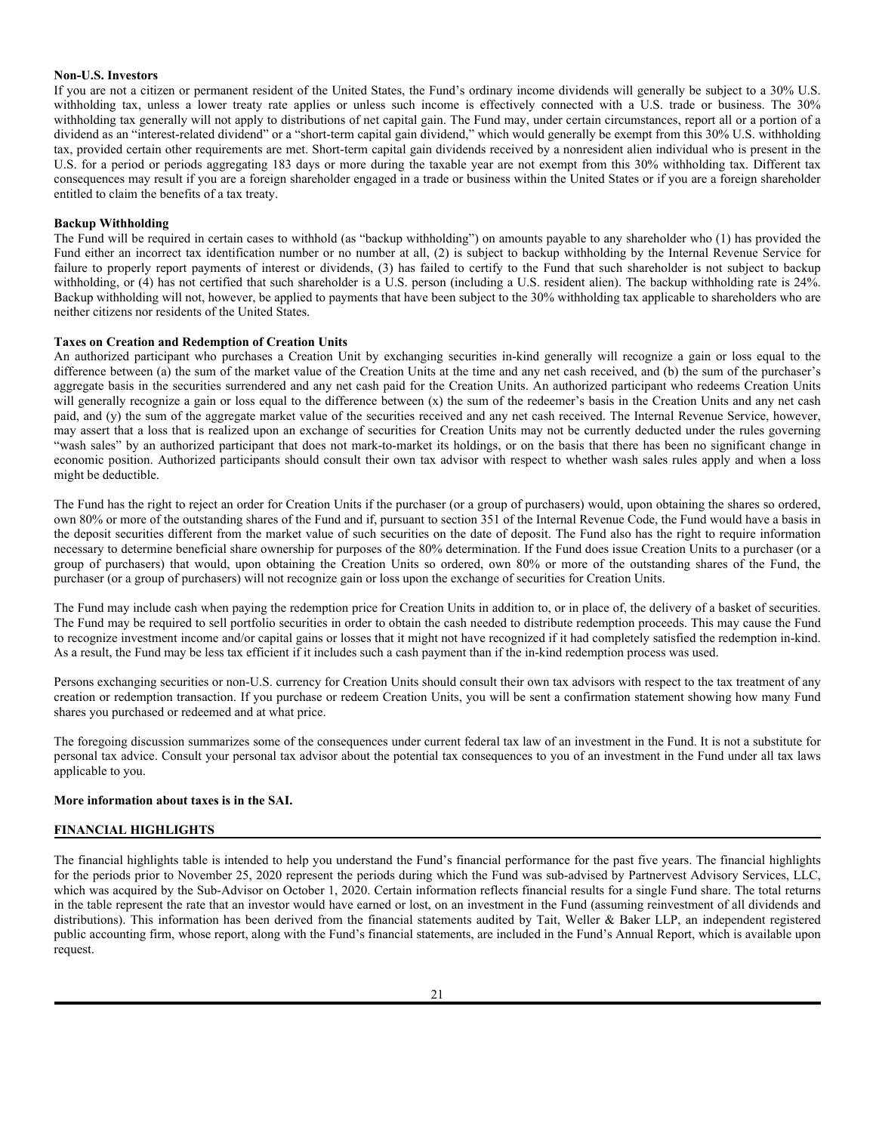#### **Non-U.S. Investors**

If you are not a citizen or permanent resident of the United States, the Fund's ordinary income dividends will generally be subject to a 30% U.S. withholding tax, unless a lower treaty rate applies or unless such income is effectively connected with a U.S. trade or business. The 30% withholding tax generally will not apply to distributions of net capital gain. The Fund may, under certain circumstances, report all or a portion of a dividend as an "interest-related dividend" or a "short-term capital gain dividend," which would generally be exempt from this 30% U.S. withholding tax, provided certain other requirements are met. Short-term capital gain dividends received by a nonresident alien individual who is present in the U.S. for a period or periods aggregating 183 days or more during the taxable year are not exempt from this 30% withholding tax. Different tax consequences may result if you are a foreign shareholder engaged in a trade or business within the United States or if you are a foreign shareholder entitled to claim the benefits of a tax treaty.

#### **Backup Withholding**

The Fund will be required in certain cases to withhold (as "backup withholding") on amounts payable to any shareholder who (1) has provided the Fund either an incorrect tax identification number or no number at all, (2) is subject to backup withholding by the Internal Revenue Service for failure to properly report payments of interest or dividends, (3) has failed to certify to the Fund that such shareholder is not subject to backup withholding, or (4) has not certified that such shareholder is a U.S. person (including a U.S. resident alien). The backup withholding rate is 24%. Backup withholding will not, however, be applied to payments that have been subject to the 30% withholding tax applicable to shareholders who are neither citizens nor residents of the United States.

#### **Taxes on Creation and Redemption of Creation Units**

An authorized participant who purchases a Creation Unit by exchanging securities in-kind generally will recognize a gain or loss equal to the difference between (a) the sum of the market value of the Creation Units at the time and any net cash received, and (b) the sum of the purchaser's aggregate basis in the securities surrendered and any net cash paid for the Creation Units. An authorized participant who redeems Creation Units will generally recognize a gain or loss equal to the difference between (x) the sum of the redeemer's basis in the Creation Units and any net cash paid, and (y) the sum of the aggregate market value of the securities received and any net cash received. The Internal Revenue Service, however, may assert that a loss that is realized upon an exchange of securities for Creation Units may not be currently deducted under the rules governing "wash sales" by an authorized participant that does not mark-to-market its holdings, or on the basis that there has been no significant change in economic position. Authorized participants should consult their own tax advisor with respect to whether wash sales rules apply and when a loss might be deductible.

The Fund has the right to reject an order for Creation Units if the purchaser (or a group of purchasers) would, upon obtaining the shares so ordered, own 80% or more of the outstanding shares of the Fund and if, pursuant to section 351 of the Internal Revenue Code, the Fund would have a basis in the deposit securities different from the market value of such securities on the date of deposit. The Fund also has the right to require information necessary to determine beneficial share ownership for purposes of the 80% determination. If the Fund does issue Creation Units to a purchaser (or a group of purchasers) that would, upon obtaining the Creation Units so ordered, own 80% or more of the outstanding shares of the Fund, the purchaser (or a group of purchasers) will not recognize gain or loss upon the exchange of securities for Creation Units.

The Fund may include cash when paying the redemption price for Creation Units in addition to, or in place of, the delivery of a basket of securities. The Fund may be required to sell portfolio securities in order to obtain the cash needed to distribute redemption proceeds. This may cause the Fund to recognize investment income and/or capital gains or losses that it might not have recognized if it had completely satisfied the redemption in-kind. As a result, the Fund may be less tax efficient if it includes such a cash payment than if the in-kind redemption process was used.

Persons exchanging securities or non-U.S. currency for Creation Units should consult their own tax advisors with respect to the tax treatment of any creation or redemption transaction. If you purchase or redeem Creation Units, you will be sent a confirmation statement showing how many Fund shares you purchased or redeemed and at what price.

The foregoing discussion summarizes some of the consequences under current federal tax law of an investment in the Fund. It is not a substitute for personal tax advice. Consult your personal tax advisor about the potential tax consequences to you of an investment in the Fund under all tax laws applicable to you.

#### **More information about taxes is in the SAI.**

#### **FINANCIAL HIGHLIGHTS**

The financial highlights table is intended to help you understand the Fund's financial performance for the past five years. The financial highlights for the periods prior to November 25, 2020 represent the periods during which the Fund was sub-advised by Partnervest Advisory Services, LLC, which was acquired by the Sub-Advisor on October 1, 2020. Certain information reflects financial results for a single Fund share. The total returns in the table represent the rate that an investor would have earned or lost, on an investment in the Fund (assuming reinvestment of all dividends and distributions). This information has been derived from the financial statements audited by Tait, Weller & Baker LLP, an independent registered public accounting firm, whose report, along with the Fund's financial statements, are included in the Fund's Annual Report, which is available upon request.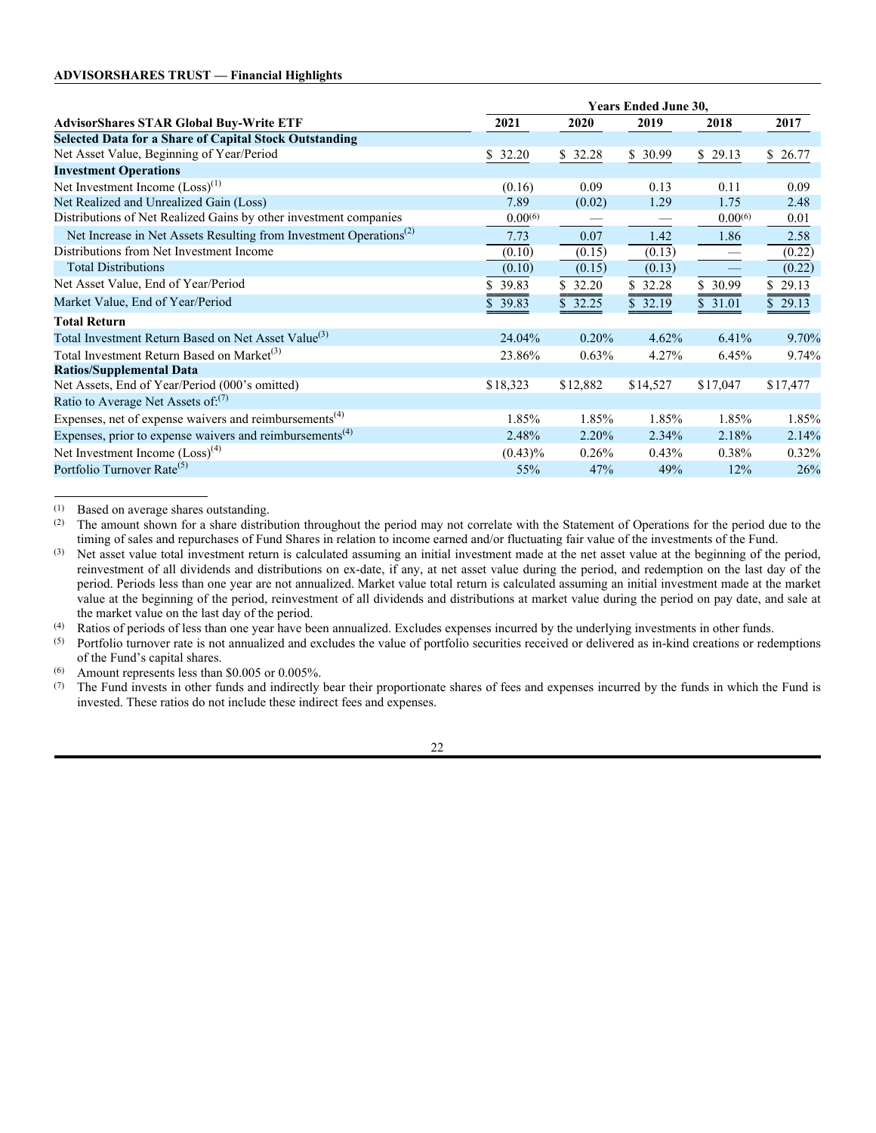|                                                                                | <b>Years Ended June 30,</b> |          |                 |                          |                |  |
|--------------------------------------------------------------------------------|-----------------------------|----------|-----------------|--------------------------|----------------|--|
| <b>AdvisorShares STAR Global Buy-Write ETF</b>                                 | 2021                        | 2020     | 2019            | 2018                     | 2017           |  |
| <b>Selected Data for a Share of Capital Stock Outstanding</b>                  |                             |          |                 |                          |                |  |
| Net Asset Value, Beginning of Year/Period                                      | \$32.20                     | \$32.28  | \$30.99         | \$29.13                  | \$26.77        |  |
| <b>Investment Operations</b>                                                   |                             |          |                 |                          |                |  |
| Net Investment Income $(Loss)^{(1)}$                                           | (0.16)                      | 0.09     | 0.13            | 0.11                     | 0.09           |  |
| Net Realized and Unrealized Gain (Loss)                                        | 7.89                        | (0.02)   | 1.29            | 1.75                     | 2.48           |  |
| Distributions of Net Realized Gains by other investment companies              | 0.00(6)                     |          |                 | 0.00(6)                  | 0.01           |  |
| Net Increase in Net Assets Resulting from Investment Operations <sup>(2)</sup> | 7.73                        | 0.07     | 1.42            | 1.86                     | 2.58           |  |
| Distributions from Net Investment Income                                       | (0.10)                      | (0.15)   | (0.13)          | $\overline{\phantom{0}}$ | (0.22)         |  |
| <b>Total Distributions</b>                                                     | (0.10)                      | (0.15)   | (0.13)          |                          | (0.22)         |  |
| Net Asset Value, End of Year/Period                                            | \$39.83                     | \$32.20  | \$32.28         | \$30.99                  | \$29.13        |  |
| Market Value, End of Year/Period                                               | $\sqrt{39.83}$              | 32.25    | $\sqrt{$}32.19$ | $\overline{$}31.01$      | $\sqrt{29.13}$ |  |
| <b>Total Return</b>                                                            |                             |          |                 |                          |                |  |
| Total Investment Return Based on Net Asset Value <sup>(3)</sup>                | 24.04%                      | 0.20%    | 4.62%           | 6.41%                    | 9.70%          |  |
| Total Investment Return Based on Market <sup>(3)</sup>                         | 23.86%                      | 0.63%    | 4.27%           | 6.45%                    | 9.74%          |  |
| <b>Ratios/Supplemental Data</b>                                                |                             |          |                 |                          |                |  |
| Net Assets, End of Year/Period (000's omitted)                                 | \$18,323                    | \$12,882 | \$14,527        | \$17,047                 | \$17,477       |  |
| Ratio to Average Net Assets of: $(7)$                                          |                             |          |                 |                          |                |  |
| Expenses, net of expense waivers and reimbursements <sup>(4)</sup>             | 1.85%                       | 1.85%    | 1.85%           | 1.85%                    | 1.85%          |  |
| Expenses, prior to expense waivers and reimbursements <sup>(4)</sup>           | 2.48%                       | 2.20%    | 2.34%           | 2.18%                    | 2.14%          |  |
| Net Investment Income $(Loss)^{(4)}$                                           | $(0.43)\%$                  | $0.26\%$ | $0.43\%$        | $0.38\%$                 | 0.32%          |  |
| Portfolio Turnover Rate <sup>(5)</sup>                                         | 55%                         | 47%      | 49%             | 12%                      | 26%            |  |

(1) Based on average shares outstanding.

<sup>(2)</sup> The amount shown for a share distribution throughout the period may not correlate with the Statement of Operations for the period due to the timing of sales and repurchases of Fund Shares in relation to income earned and/or fluctuating fair value of the investments of the Fund.

(4) Ratios of periods of less than one year have been annualized. Excludes expenses incurred by the underlying investments in other funds.

 $<sup>(5)</sup>$  Portfolio turnover rate is not annualized and excludes the value of portfolio securities received or delivered as in-kind creations or redemptions</sup> of the Fund's capital shares.

(6) Amount represents less than \$0.005 or 0.005%.<br>(7) The Fund invests in other funds and indirectly

The Fund invests in other funds and indirectly bear their proportionate shares of fees and expenses incurred by the funds in which the Fund is invested. These ratios do not include these indirect fees and expenses.

<sup>(3)</sup> Net asset value total investment return is calculated assuming an initial investment made at the net asset value at the beginning of the period, reinvestment of all dividends and distributions on ex-date, if any, at net asset value during the period, and redemption on the last day of the period. Periods less than one year are not annualized. Market value total return is calculated assuming an initial investment made at the market value at the beginning of the period, reinvestment of all dividends and distributions at market value during the period on pay date, and sale at the market value on the last day of the period.